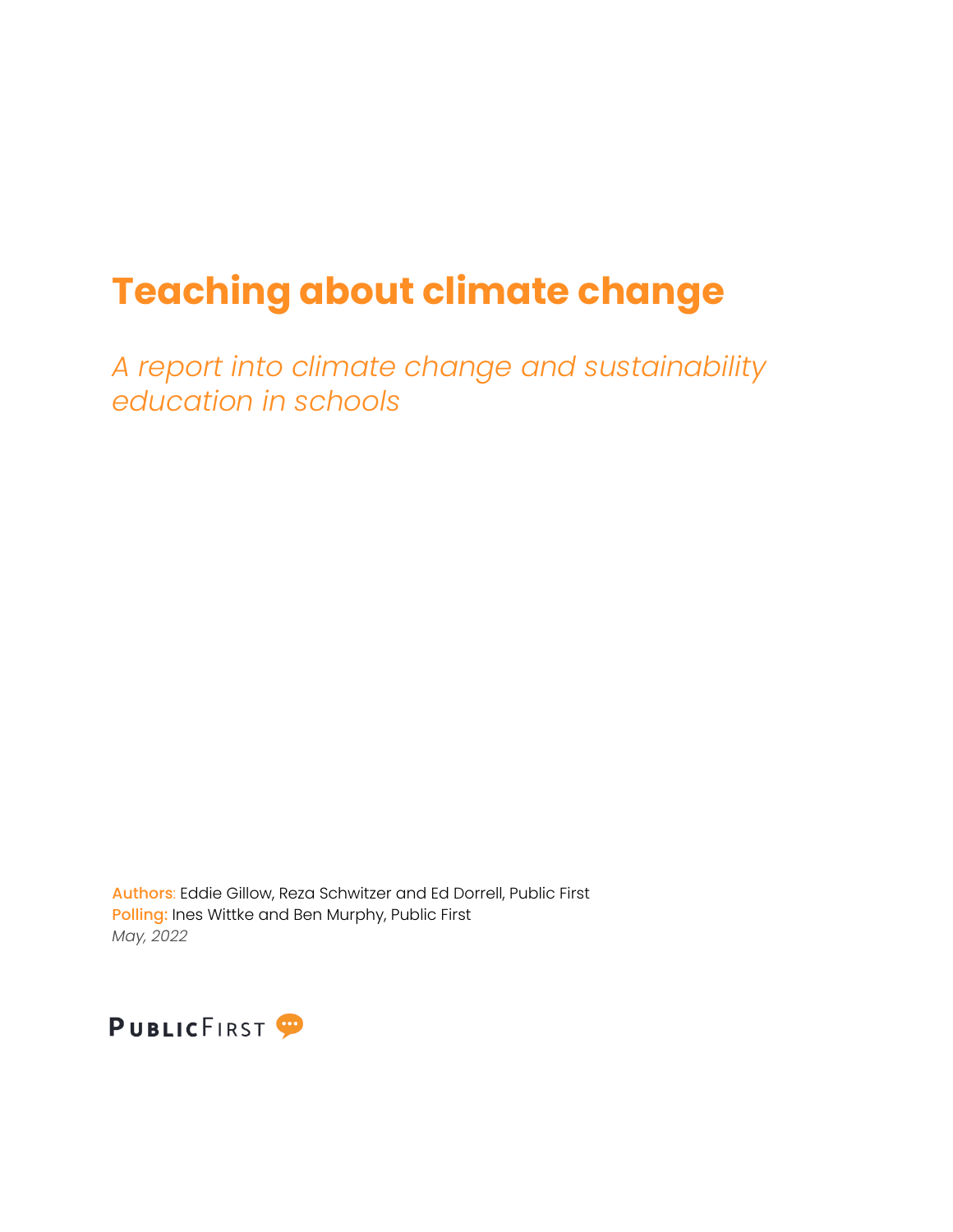# **Teaching about climate change**

*A report into climate change and sustainability education in schools*

Authors: Eddie Gillow, Reza Schwitzer and Ed Dorrell, Public First Polling: Ines Wittke and Ben Murphy, Public First *May, 2022*

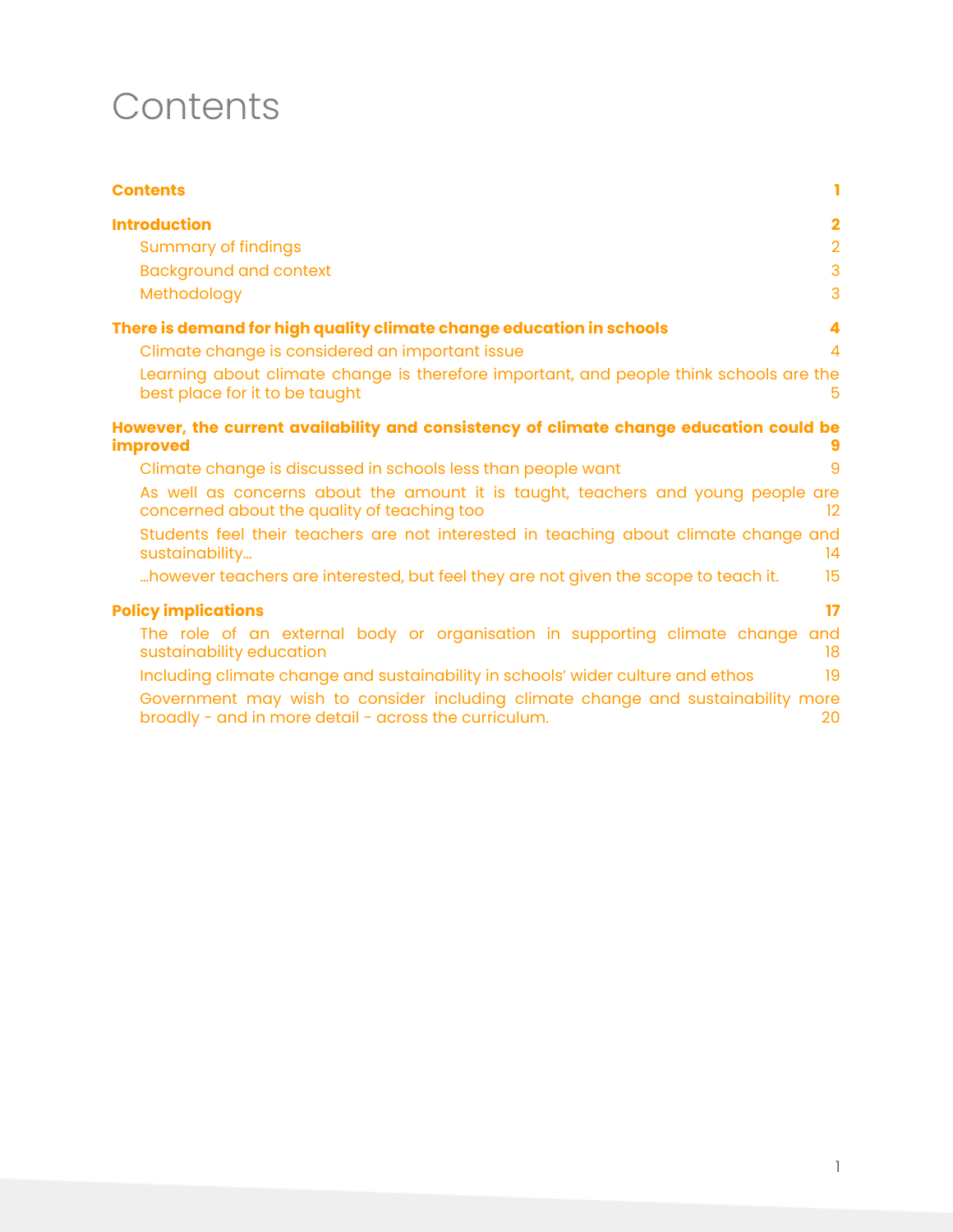### <span id="page-1-0"></span>**Contents**

| <b>Contents</b><br>ı                                                                                                                                                                                                                                                      |
|---------------------------------------------------------------------------------------------------------------------------------------------------------------------------------------------------------------------------------------------------------------------------|
| <b>Introduction</b><br>$\overline{\mathbf{2}}$<br>$\overline{2}$<br><b>Summary of findings</b>                                                                                                                                                                            |
| 3<br><b>Background and context</b><br>$\mathcal{R}$<br>Methodology                                                                                                                                                                                                        |
| There is demand for high quality climate change education in schools<br>4<br>Climate change is considered an important issue<br>$\Delta$<br>Learning about climate change is therefore important, and people think schools are the<br>best place for it to be taught<br>5 |
| However, the current availability and consistency of climate change education could be<br><b>improved</b>                                                                                                                                                                 |
| Climate change is discussed in schools less than people want<br>9                                                                                                                                                                                                         |
| As well as concerns about the amount it is taught, teachers and young people are<br>concerned about the quality of teaching too<br>12                                                                                                                                     |
| Students feel their teachers are not interested in teaching about climate change and<br>14<br>sustainability                                                                                                                                                              |
| 15<br>however teachers are interested, but feel they are not given the scope to teach it.                                                                                                                                                                                 |
| <b>Policy implications</b><br>17                                                                                                                                                                                                                                          |
| The role of an external body or organisation in supporting climate change and<br>sustainability education<br>18                                                                                                                                                           |
| 19<br>Including climate change and sustainability in schools' wider culture and ethos                                                                                                                                                                                     |
| Government may wish to consider including climate change and sustainability more<br>broadly - and in more detail - across the curriculum.<br>20                                                                                                                           |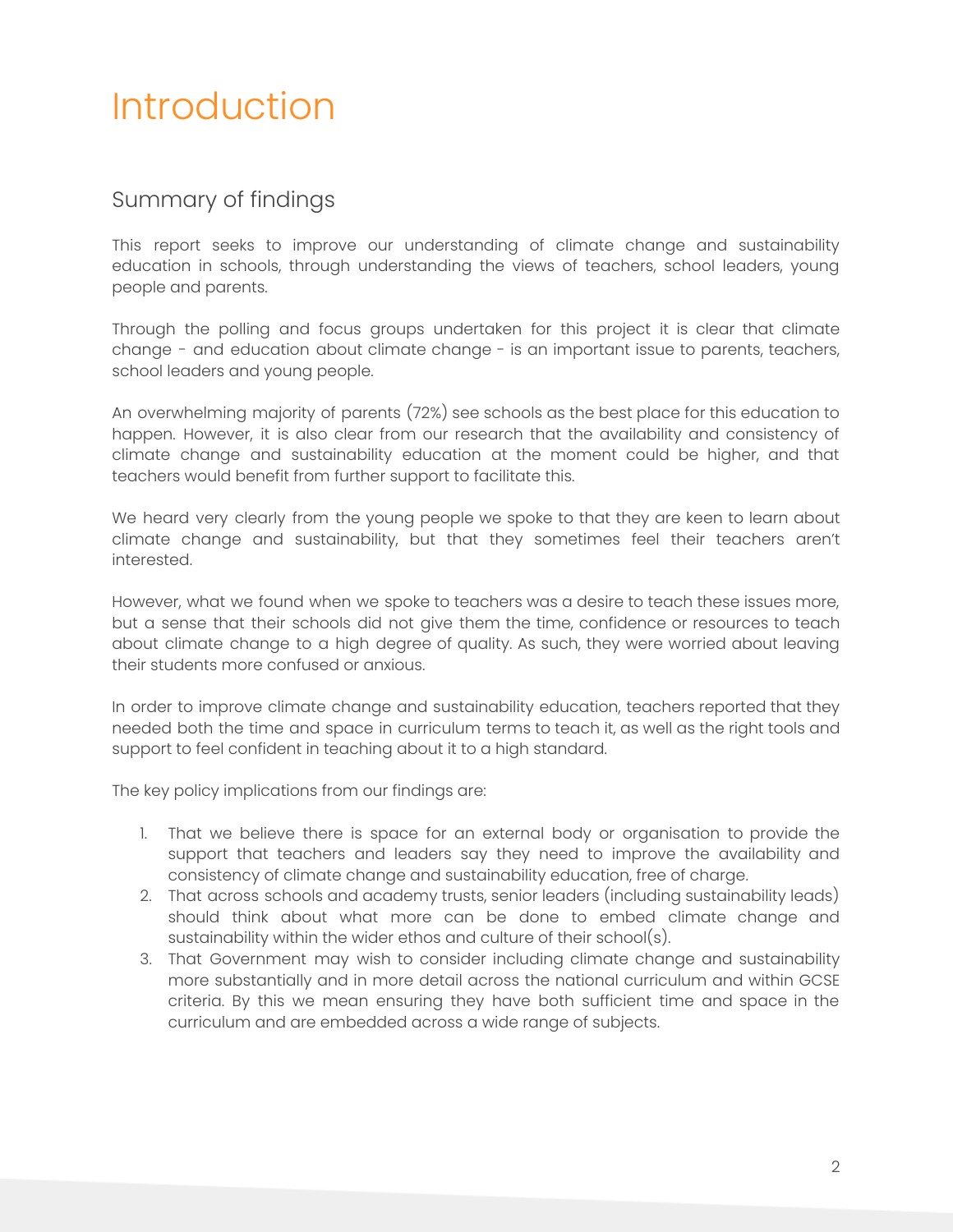# <span id="page-2-0"></span>Introduction

#### <span id="page-2-1"></span>Summary of findings

This report seeks to improve our understanding of climate change and sustainability education in schools, through understanding the views of teachers, school leaders, young people and parents.

Through the polling and focus groups undertaken for this project it is clear that climate change - and education about climate change - is an important issue to parents, teachers, school leaders and young people.

An overwhelming majority of parents (72%) see schools as the best place for this education to happen. However, it is also clear from our research that the availability and consistency of climate change and sustainability education at the moment could be higher, and that teachers would benefit from further support to facilitate this.

We heard very clearly from the young people we spoke to that they are keen to learn about climate change and sustainability, but that they sometimes feel their teachers aren't interested.

However, what we found when we spoke to teachers was a desire to teach these issues more, but a sense that their schools did not give them the time, confidence or resources to teach about climate change to a high degree of quality. As such, they were worried about leaving their students more confused or anxious.

In order to improve climate change and sustainability education, teachers reported that they needed both the time and space in curriculum terms to teach it, as well as the right tools and support to feel confident in teaching about it to a high standard.

The key policy implications from our findings are:

- 1. That we believe there is space for an external body or organisation to provide the support that teachers and leaders say they need to improve the availability and consistency of climate change and sustainability education, free of charge.
- 2. That across schools and academy trusts, senior leaders (including sustainability leads) should think about what more can be done to embed climate change and sustainability within the wider ethos and culture of their school(s).
- 3. That Government may wish to consider including climate change and sustainability more substantially and in more detail across the national curriculum and within GCSE criteria. By this we mean ensuring they have both sufficient time and space in the curriculum and are embedded across a wide range of subjects.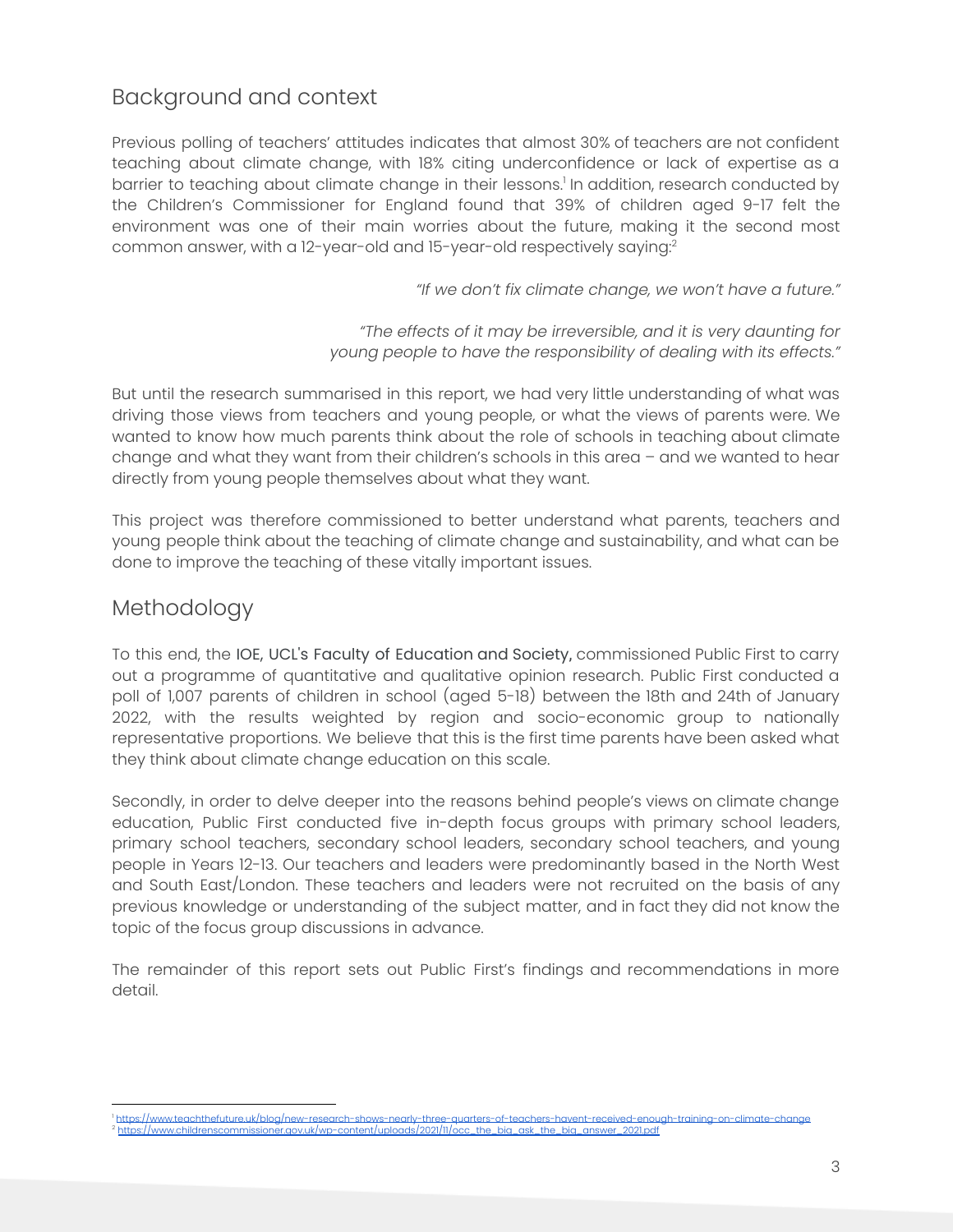#### <span id="page-3-0"></span>Background and context

Previous polling of teachers' attitudes indicates that almost 30% of teachers are not confident teaching about climate change, with 18% citing underconfidence or lack of expertise as a barrier to teaching about climate change in their lessons.<sup>1</sup> In addition, research conducted by the Children's Commissioner for England found that 39% of children aged 9-17 felt the environment was one of their main worries about the future, making it the second most common answer, with a 12-year-old and 15-year-old respectively saying: 2

*"If we don't fix climate change, we won't have a future."*

*"The effects of it may be irreversible, and it is very daunting for young people to have the responsibility of dealing with its effects."*

But until the research summarised in this report, we had very little understanding of what was driving those views from teachers and young people, or what the views of parents were. We wanted to know how much parents think about the role of schools in teaching about climate change and what they want from their children's schools in this area – and we wanted to hear directly from young people themselves about what they want.

This project was therefore commissioned to better understand what parents, teachers and young people think about the teaching of climate change and sustainability, and what can be done to improve the teaching of these vitally important issues.

#### <span id="page-3-1"></span>Methodology

To this end, the IOE, UCL's Faculty of Education and Society, commissioned Public First to carry out a programme of quantitative and qualitative opinion research. Public First conducted a poll of 1,007 parents of children in school (aged 5-18) between the 18th and 24th of January 2022, with the results weighted by region and socio-economic group to nationally representative proportions. We believe that this is the first time parents have been asked what they think about climate change education on this scale.

Secondly, in order to delve deeper into the reasons behind people's views on climate change education, Public First conducted five in-depth focus groups with primary school leaders, primary school teachers, secondary school leaders, secondary school teachers, and young people in Years 12-13. Our teachers and leaders were predominantly based in the North West and South East/London. These teachers and leaders were not recruited on the basis of any previous knowledge or understanding of the subject matter, and in fact they did not know the topic of the focus group discussions in advance.

The remainder of this report sets out Public First's findings and recommendations in more detail.

<sup>&</sup>lt;sup>1</sup> <https://www.teachthefuture.uk/blog/new-research-shows-nearly-three-quarters-of-teachers-havent-received-enough-training-on-climate-change><br><sup>2</sup> https://www.childrenscommissioner.gov.uk/wp-content/uploads/2021/11/occ\_the\_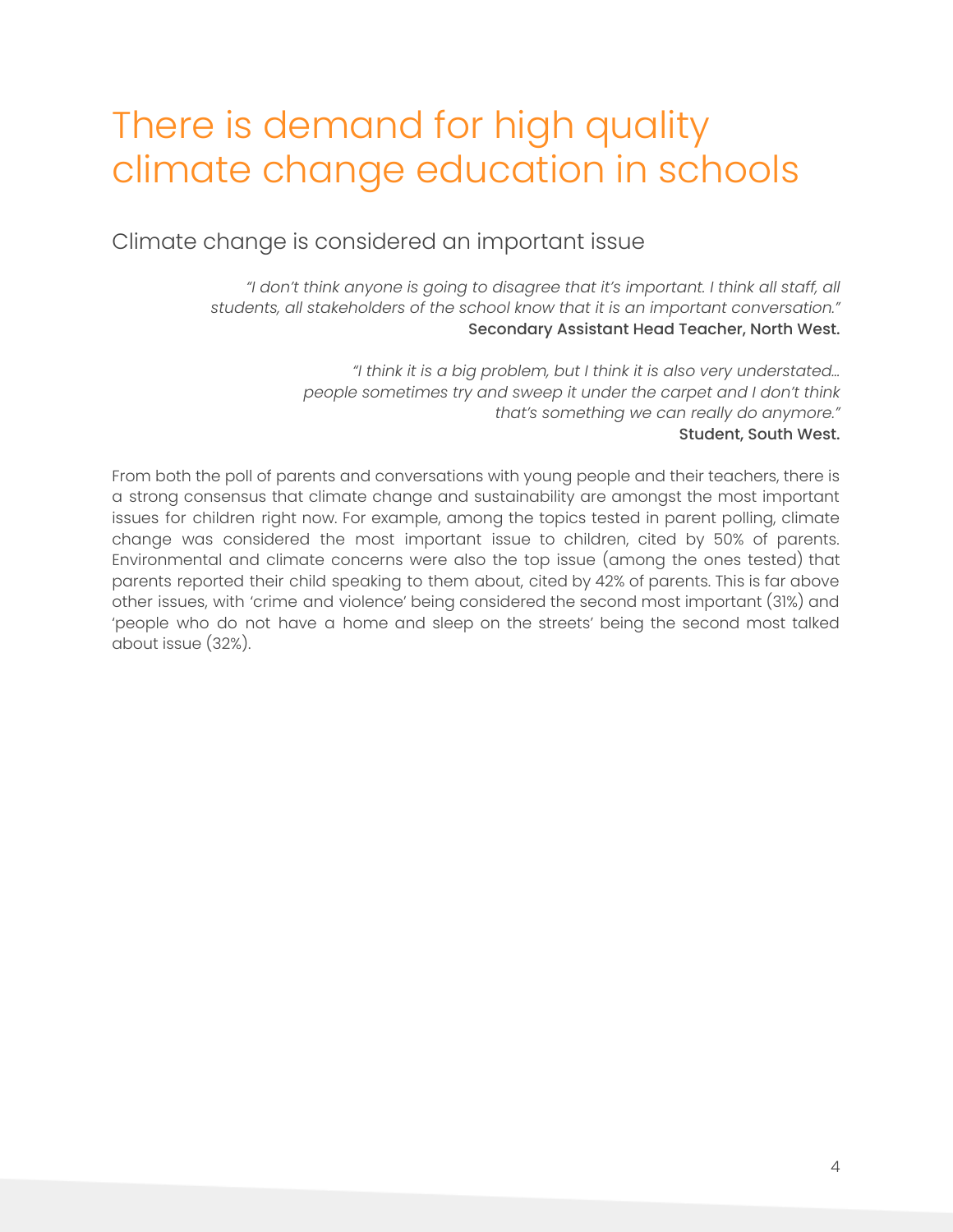### <span id="page-4-0"></span>There is demand for high quality climate change education in schools

<span id="page-4-1"></span>Climate change is considered an important issue

*"I don't think anyone is going to disagree that it's important. I think all staff, all students, all stakeholders of the school know that it is an important conversation."* Secondary Assistant Head Teacher, North West.

> *"I think it is a big problem, but I think it is also very understated… people sometimes try and sweep it under the carpet and I don't think that's something we can really do anymore."* Student, South West.

From both the poll of parents and conversations with young people and their teachers, there is a strong consensus that climate change and sustainability are amongst the most important issues for children right now. For example, among the topics tested in parent polling, climate change was considered the most important issue to children, cited by 50% of parents. Environmental and climate concerns were also the top issue (among the ones tested) that parents reported their child speaking to them about, cited by 42% of parents. This is far above other issues, with 'crime and violence' being considered the second most important (31%) and 'people who do not have a home and sleep on the streets' being the second most talked about issue (32%).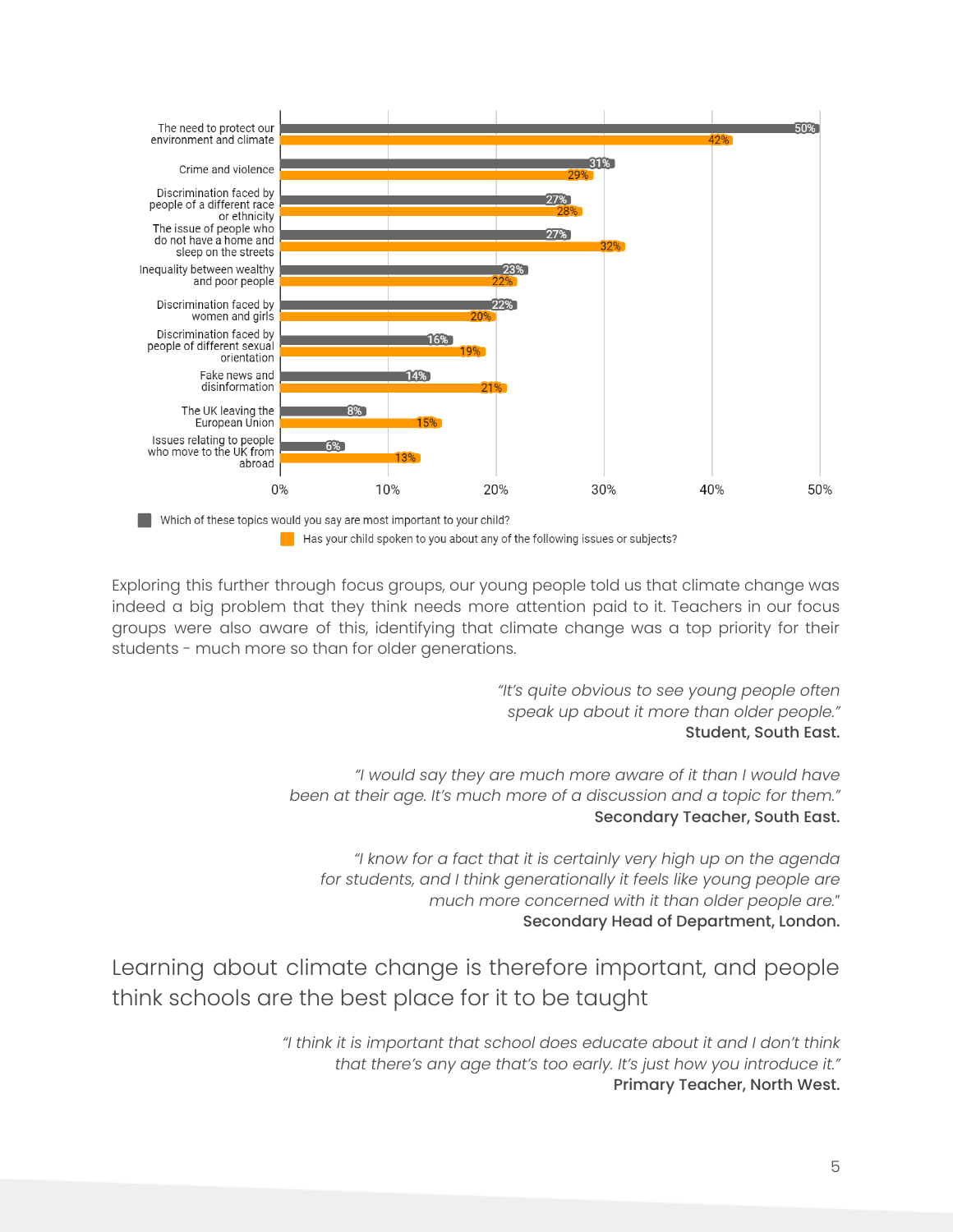

Has your child spoken to you about any of the following issues or subjects?

Exploring this further through focus groups, our young people told us that climate change was indeed a big problem that they think needs more attention paid to it. Teachers in our focus groups were also aware of this, identifying that climate change was a top priority for their students - much more so than for older generations.

> *"It's quite obvious to see young people often speak up about it more than older people."* Student, South East.

*"I would say they are much more aware of it than I would have been at their age. It's much more of a discussion and a topic for them."* Secondary Teacher, South East.

*"I know for a fact that it is certainly very high up on the agenda for students, and I think generationally it feels like young people are much more concerned with it than older people are.*" Secondary Head of Department, London.

<span id="page-5-0"></span>Learning about climate change is therefore important, and people think schools are the best place for it to be taught

> *"I think it is important that school does educate about it and I don't think that there's any age that's too early. It's just how you introduce it."* Primary Teacher, North West.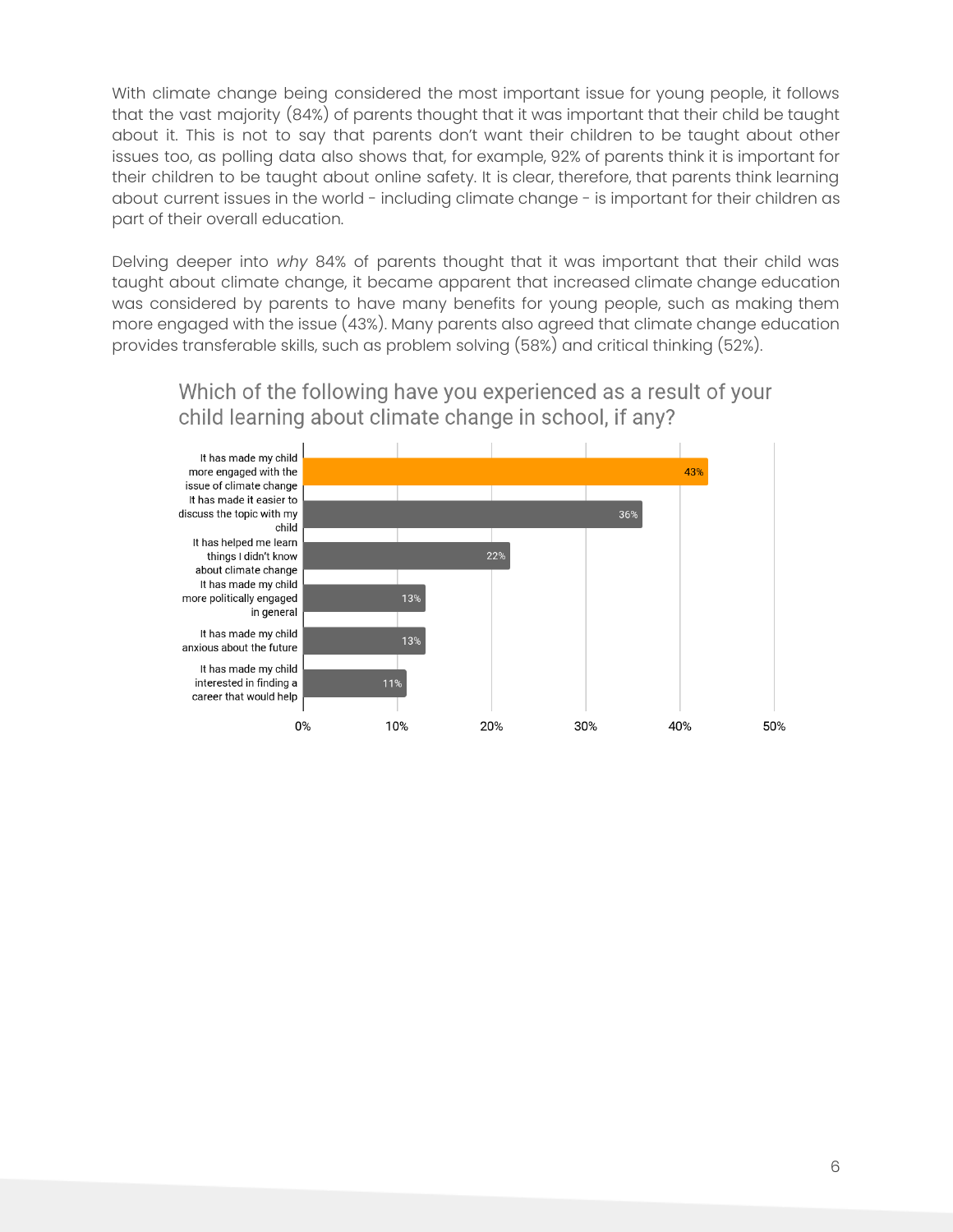With climate change being considered the most important issue for young people, it follows that the vast majority (84%) of parents thought that it was important that their child be taught about it. This is not to say that parents don't want their children to be taught about other issues too, as polling data also shows that, for example, 92% of parents think it is important for their children to be taught about online safety. It is clear, therefore, that parents think learning about current issues in the world - including climate change - is important for their children as part of their overall education.

Delving deeper into *why* 84% of parents thought that it was important that their child was taught about climate change, it became apparent that increased climate change education was considered by parents to have many benefits for young people, such as making them more engaged with the issue (43%). Many parents also agreed that climate change education provides transferable skills, such as problem solving (58%) and critical thinking (52%).

Which of the following have you experienced as a result of your child learning about climate change in school, if any?

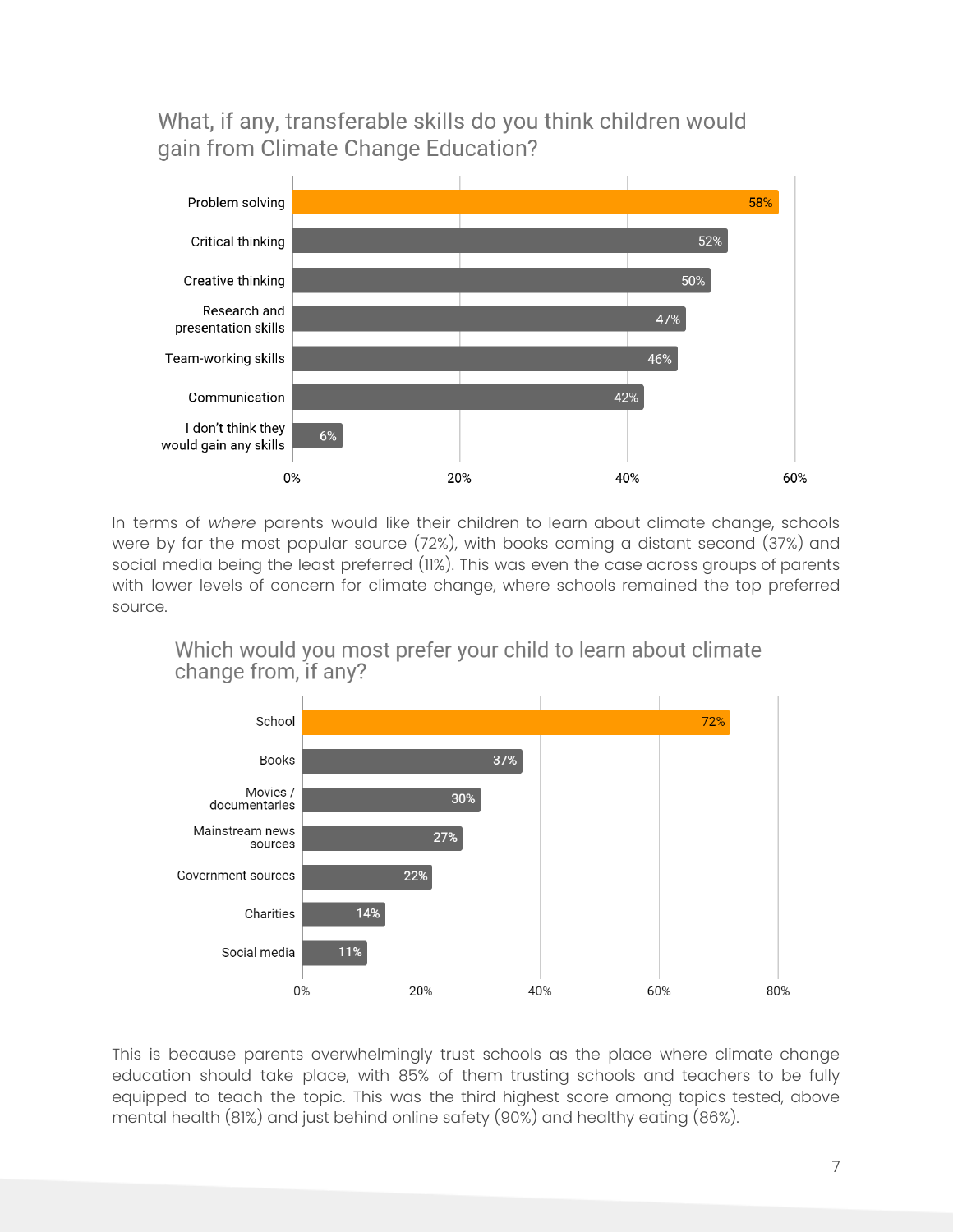What, if any, transferable skills do you think children would gain from Climate Change Education?



In terms of *where* parents would like their children to learn about climate change, schools were by far the most popular source (72%), with books coming a distant second (37%) and social media being the least preferred (11%). This was even the case across groups of parents with lower levels of concern for climate change, where schools remained the top preferred source.

Which would you most prefer your child to learn about climate change from, if any?



This is because parents overwhelmingly trust schools as the place where climate change education should take place, with 85% of them trusting schools and teachers to be fully equipped to teach the topic. This was the third highest score among topics tested, above mental health (81%) and just behind online safety (90%) and healthy eating (86%).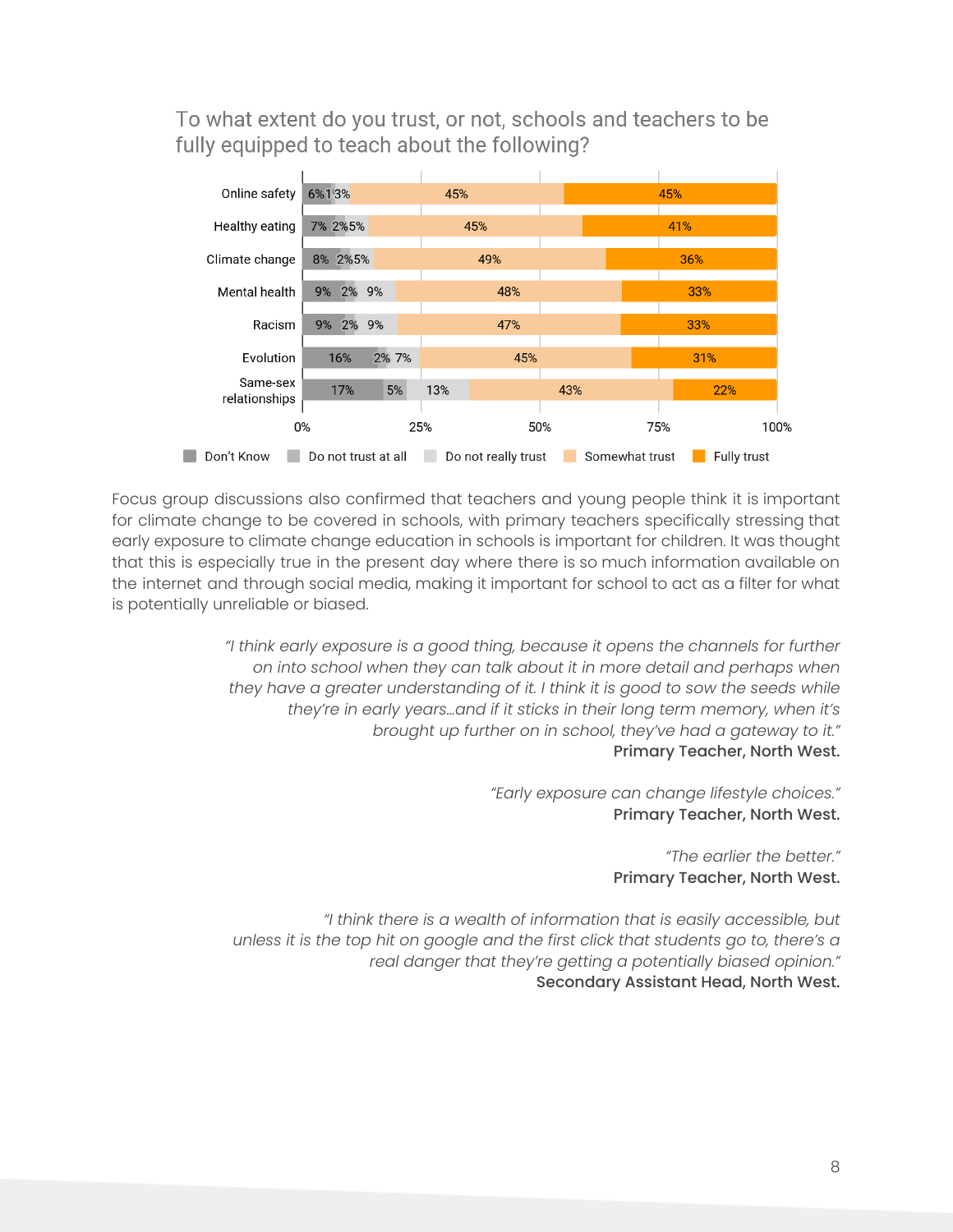To what extent do you trust, or not, schools and teachers to be fully equipped to teach about the following?



Focus group discussions also confirmed that teachers and young people think it is important for climate change to be covered in schools, with primary teachers specifically stressing that early exposure to climate change education in schools is important for children. It was thought that this is especially true in the present day where there is so much information available on the internet and through social media, making it important for school to act as a filter for what is potentially unreliable or biased.

> *"I think early exposure is a good thing, because it opens the channels for further on into school when they can talk about it in more detail and perhaps when they have a greater understanding of it. I think it is good to sow the seeds while they're in early years…and if it sticks in their long term memory, when it's brought up further on in school, they've had a gateway to it."* Primary Teacher, North West.

> > *"Early exposure can change lifestyle choices."* Primary Teacher, North West.

> > > *"The earlier the better."* Primary Teacher, North West.

*"I think there is a wealth of information that is easily accessible, but unless it is the top hit on google and the first click that students go to, there's a real danger that they're getting a potentially biased opinion."* Secondary Assistant Head, North West.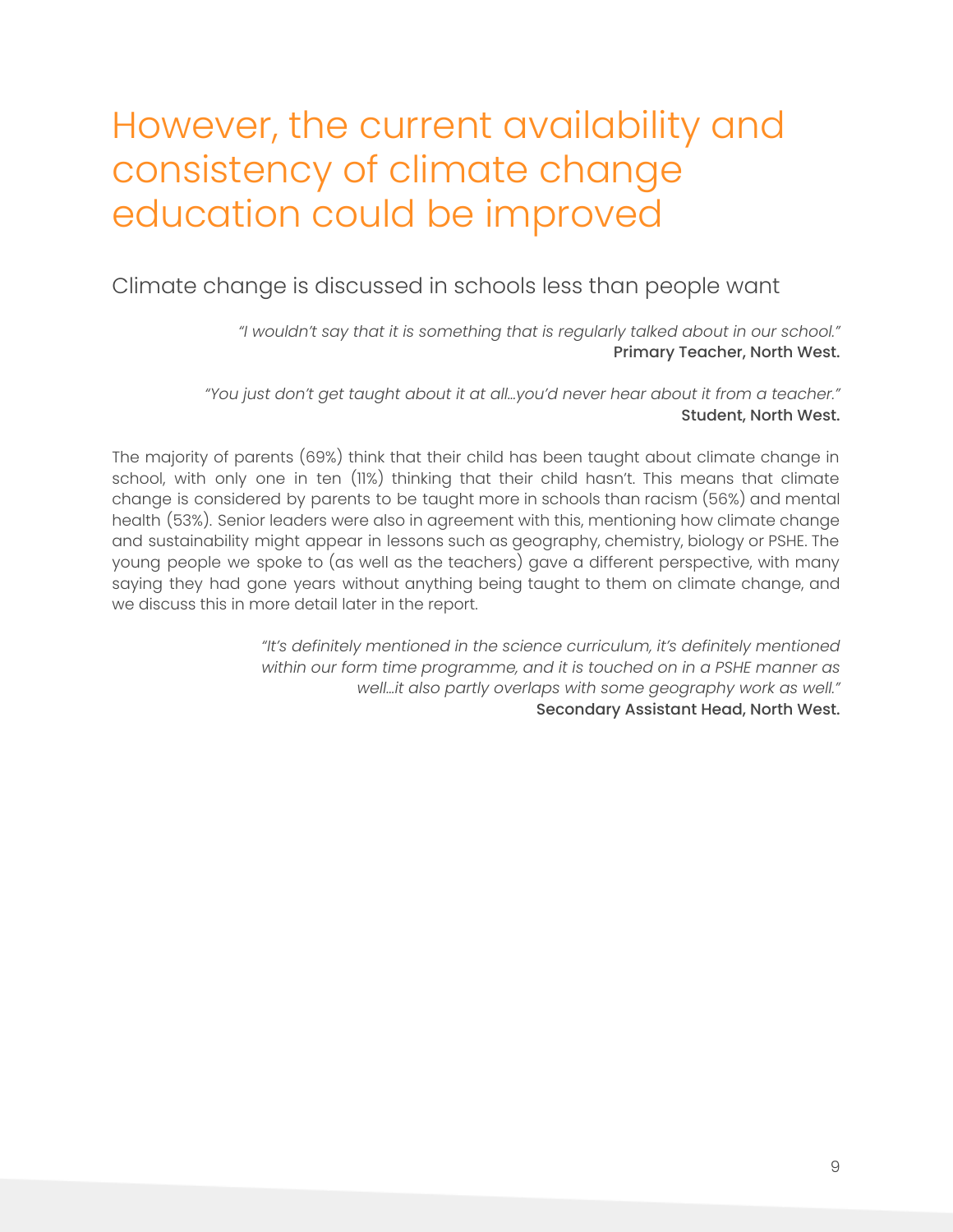### However, the current availability and consistency of climate change education could be improved

<span id="page-9-1"></span><span id="page-9-0"></span>Climate change is discussed in schools less than people want

*"I wouldn't say that it is something that is regularly talked about in our school."* Primary Teacher, North West.

*"You just don't get taught about it at all…you'd never hear about it from a teacher."* Student, North West.

The majority of parents (69%) think that their child has been taught about climate change in school, with only one in ten (11%) thinking that their child hasn't. This means that climate change is considered by parents to be taught more in schools than racism (56%) and mental health (53%). Senior leaders were also in agreement with this, mentioning how climate change and sustainability might appear in lessons such as geography, chemistry, biology or PSHE. The young people we spoke to (as well as the teachers) gave a different perspective, with many saying they had gone years without anything being taught to them on climate change, and we discuss this in more detail later in the report.

> *"It's definitely mentioned in the science curriculum, it's definitely mentioned within our form time programme, and it is touched on in a PSHE manner as well…it also partly overlaps with some geography work as well."* Secondary Assistant Head, North West.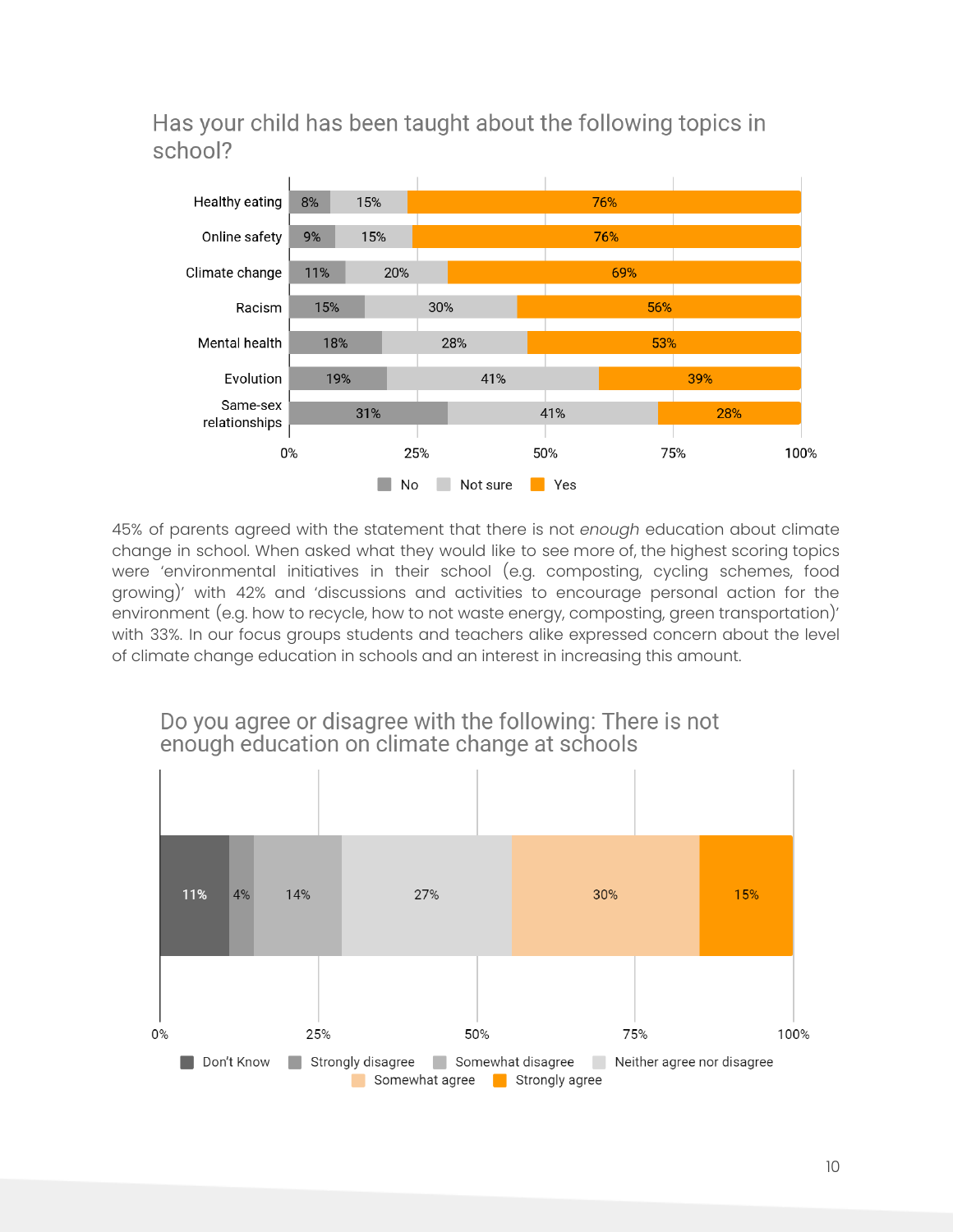Has your child has been taught about the following topics in school?



45% of parents agreed with the statement that there is not *enough* education about climate change in school. When asked what they would like to see more of, the highest scoring topics were 'environmental initiatives in their school (e.g. composting, cycling schemes, food growing)' with 42% and 'discussions and activities to encourage personal action for the environment (e.g. how to recycle, how to not waste energy, composting, green transportation)' with 33%. In our focus groups students and teachers alike expressed concern about the level of climate change education in schools and an interest in increasing this amount.



Do you agree or disagree with the following: There is not enough education on climate change at schools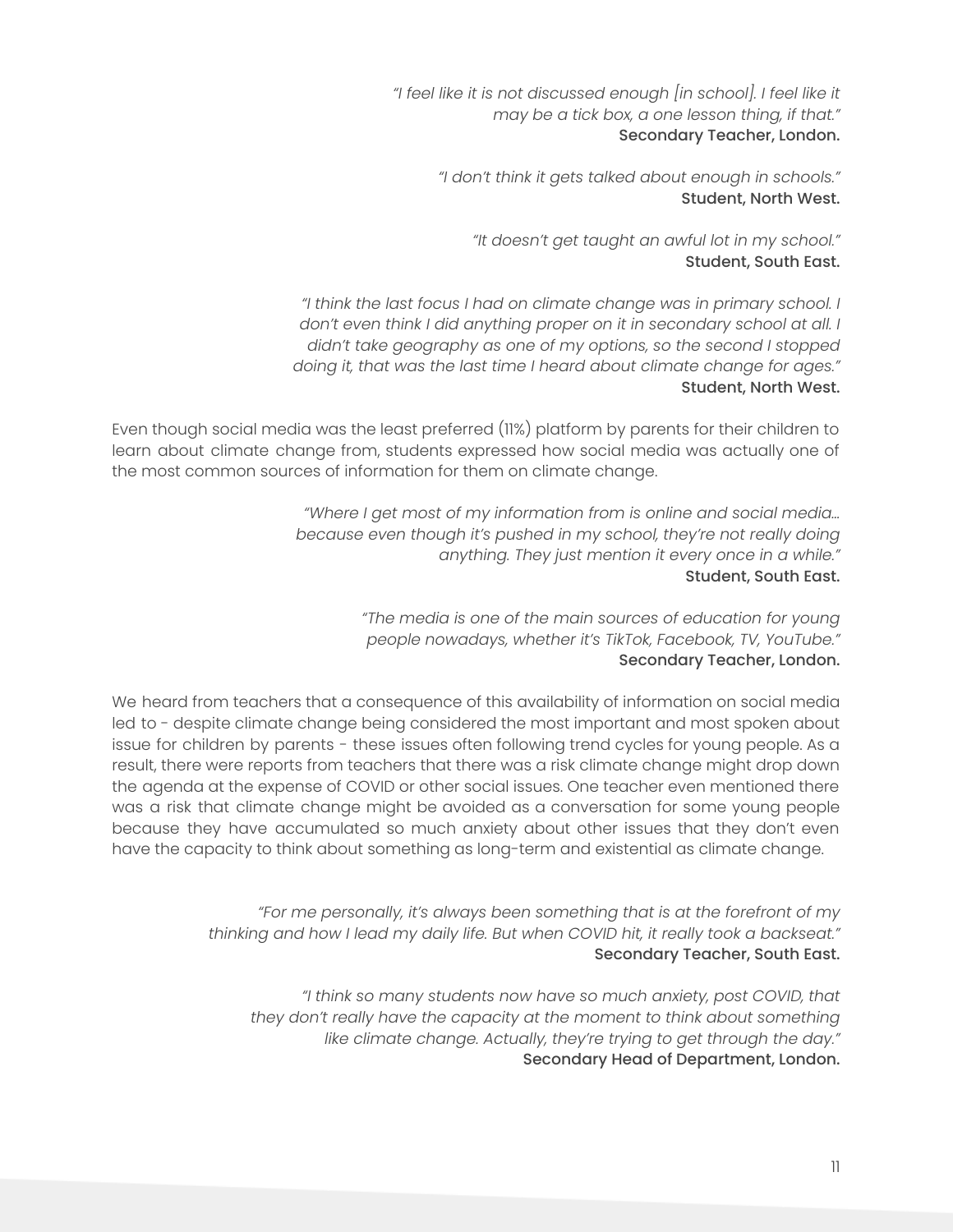*"I feel like it is not discussed enough [in school]. I feel like it may be a tick box, a one lesson thing, if that."* Secondary Teacher, London.

> *"I don't think it gets talked about enough in schools."* Student, North West.

*"It doesn't get taught an awful lot in my school."* Student, South East.

*"I think the last focus I had on climate change was in primary school. I don't even think I did anything proper on it in secondary school at all. I didn't take geography as one of my options, so the second I stopped doing it, that was the last time I heard about climate change for ages."* Student, North West.

Even though social media was the least preferred (11%) platform by parents for their children to learn about climate change from, students expressed how social media was actually one of the most common sources of information for them on climate change.

> *"Where I get most of my information from is online and social media… because even though it's pushed in my school, they're not really doing anything. They just mention it every once in a while."* Student, South East.

> > *"The media is one of the main sources of education for young people nowadays, whether it's TikTok, Facebook, TV, YouTube."* Secondary Teacher, London.

We heard from teachers that a consequence of this availability of information on social media led to - despite climate change being considered the most important and most spoken about issue for children by parents - these issues often following trend cycles for young people. As a result, there were reports from teachers that there was a risk climate change might drop down the agenda at the expense of COVID or other social issues. One teacher even mentioned there was a risk that climate change might be avoided as a conversation for some young people because they have accumulated so much anxiety about other issues that they don't even have the capacity to think about something as long-term and existential as climate change.

> *"For me personally, it's always been something that is at the forefront of my thinking and how I lead my daily life. But when COVID hit, it really took a backseat."* Secondary Teacher, South East.

*"I think so many students now have so much anxiety, post COVID, that they don't really have the capacity at the moment to think about something like climate change. Actually, they're trying to get through the day."* Secondary Head of Department, London.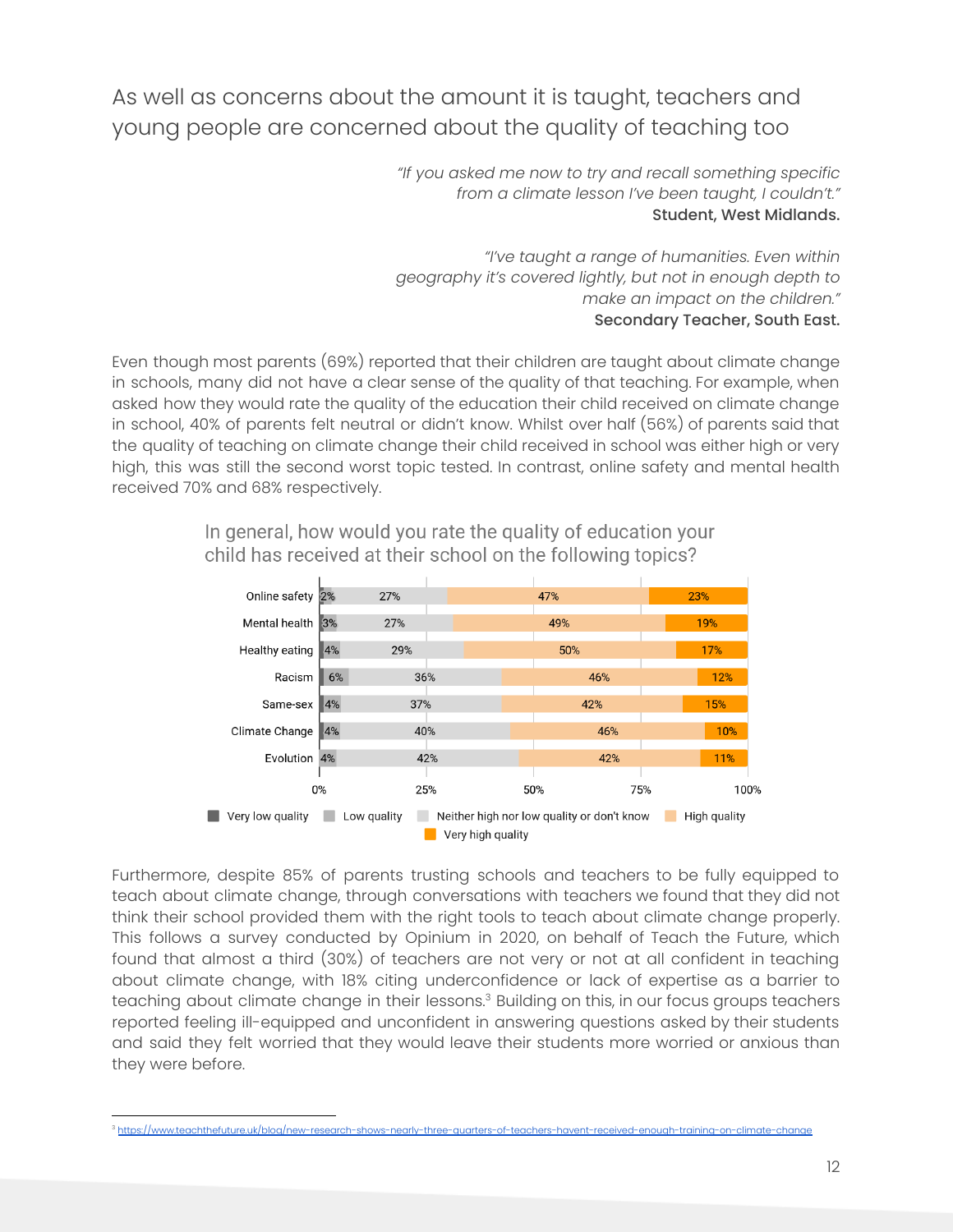### <span id="page-12-0"></span>As well as concerns about the amount it is taught, teachers and young people are concerned about the quality of teaching too

*"If you asked me now to try and recall something specific from a climate lesson I've been taught, I couldn't."* Student, West Midlands.

*"I've taught a range of humanities. Even within geography it's covered lightly, but not in enough depth to make an impact on the children."* Secondary Teacher, South East.

Even though most parents (69%) reported that their children are taught about climate change in schools, many did not have a clear sense of the quality of that teaching. For example, when asked how they would rate the quality of the education their child received on climate change in school, 40% of parents felt neutral or didn't know. Whilst over half (56%) of parents said that the quality of teaching on climate change their child received in school was either high or very high, this was still the second worst topic tested. In contrast, online safety and mental health received 70% and 68% respectively.



In general, how would you rate the quality of education your child has received at their school on the following topics?

Furthermore, despite 85% of parents trusting schools and teachers to be fully equipped to teach about climate change, through conversations with teachers we found that they did not think their school provided them with the right tools to teach about climate change properly. This follows a survey conducted by Opinium in 2020, on behalf of Teach the Future, which found that almost a third (30%) of teachers are not very or not at all confident in teaching about climate change, with 18% citing underconfidence or lack of expertise as a barrier to teaching about climate change in their lessons. $^{\rm 3}$  Building on this, in our focus groups teachers reported feeling ill-equipped and unconfident in answering questions asked by their students and said they felt worried that they would leave their students more worried or anxious than they were before.

<sup>&</sup>lt;sup>3</sup> https://www.teachthefuture.uk/blog/new-research-shows-nearly-three-quarters-of-teachers-havent-received-enough-training-on-climate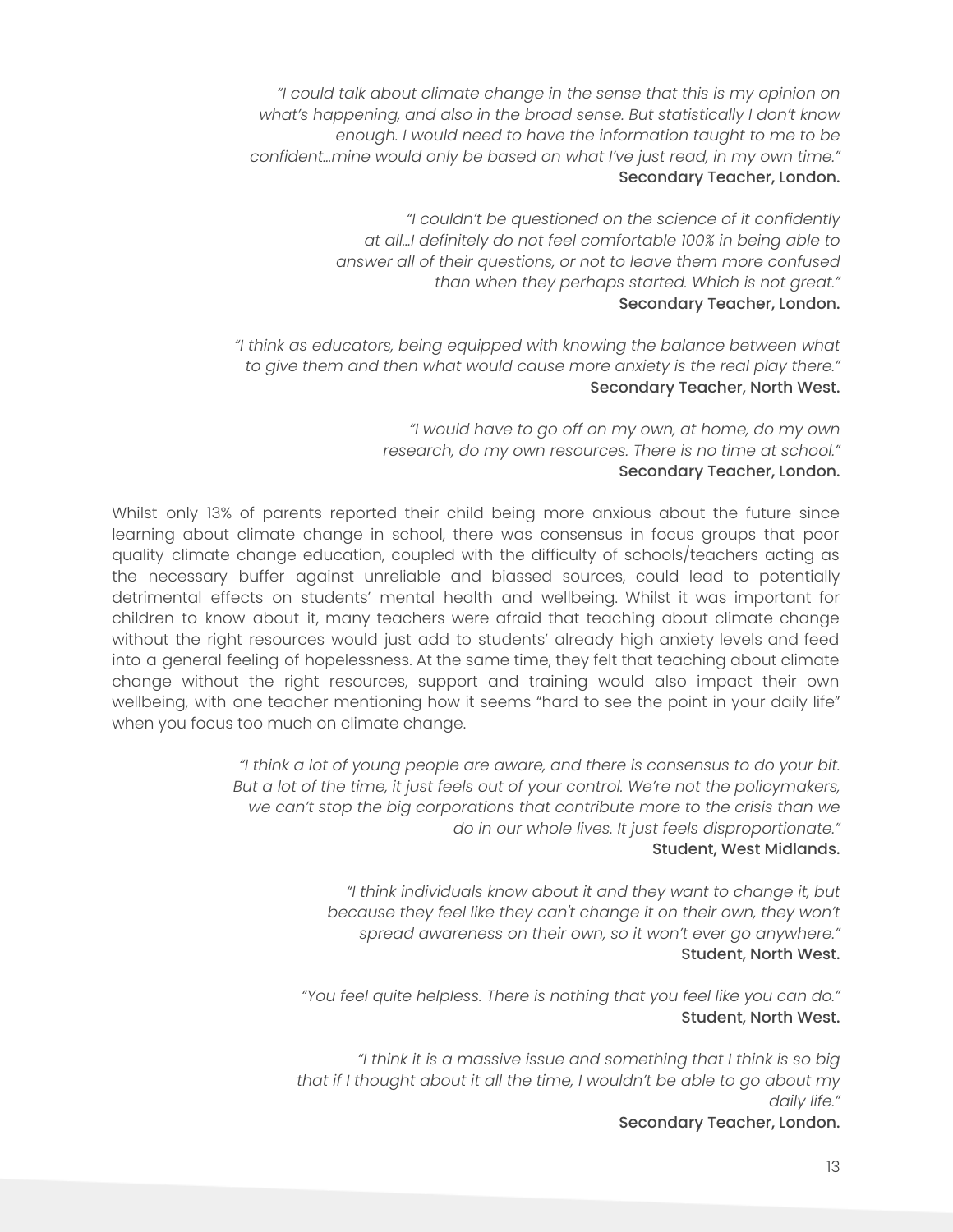*"I could talk about climate change in the sense that this is my opinion on what's happening, and also in the broad sense. But statistically I don't know enough. I would need to have the information taught to me to be confident…mine would only be based on what I've just read, in my own time."* Secondary Teacher, London.

> *"I couldn't be questioned on the science of it confidently at all…I definitely do not feel comfortable 100% in being able to answer all of their questions, or not to leave them more confused than when they perhaps started. Which is not great."* Secondary Teacher, London.

*"I think as educators, being equipped with knowing the balance between what to give them and then what would cause more anxiety is the real play there."* Secondary Teacher, North West.

> *"I would have to go off on my own, at home, do my own research, do my own resources. There is no time at school."* Secondary Teacher, London.

Whilst only 13% of parents reported their child being more anxious about the future since learning about climate change in school, there was consensus in focus groups that poor quality climate change education, coupled with the difficulty of schools/teachers acting as the necessary buffer against unreliable and biassed sources, could lead to potentially detrimental effects on students' mental health and wellbeing. Whilst it was important for children to know about it, many teachers were afraid that teaching about climate change without the right resources would just add to students' already high anxiety levels and feed into a general feeling of hopelessness. At the same time, they felt that teaching about climate change without the right resources, support and training would also impact their own wellbeing, with one teacher mentioning how it seems "hard to see the point in your daily life" when you focus too much on climate change.

> *"I think a lot of young people are aware, and there is consensus to do your bit. But a lot of the time, it just feels out of your control. We're not the policymakers, we can't stop the big corporations that contribute more to the crisis than we do in our whole lives. It just feels disproportionate."* Student, West Midlands.

> > *"I think individuals know about it and they want to change it, but because they feel like they can't change it on their own, they won't spread awareness on their own, so it won't ever go anywhere."* Student, North West.

*"You feel quite helpless. There is nothing that you feel like you can do."* Student, North West.

*"I think it is a massive issue and something that I think is so big that if I thought about it all the time, I wouldn't be able to go about my daily life."*

Secondary Teacher, London.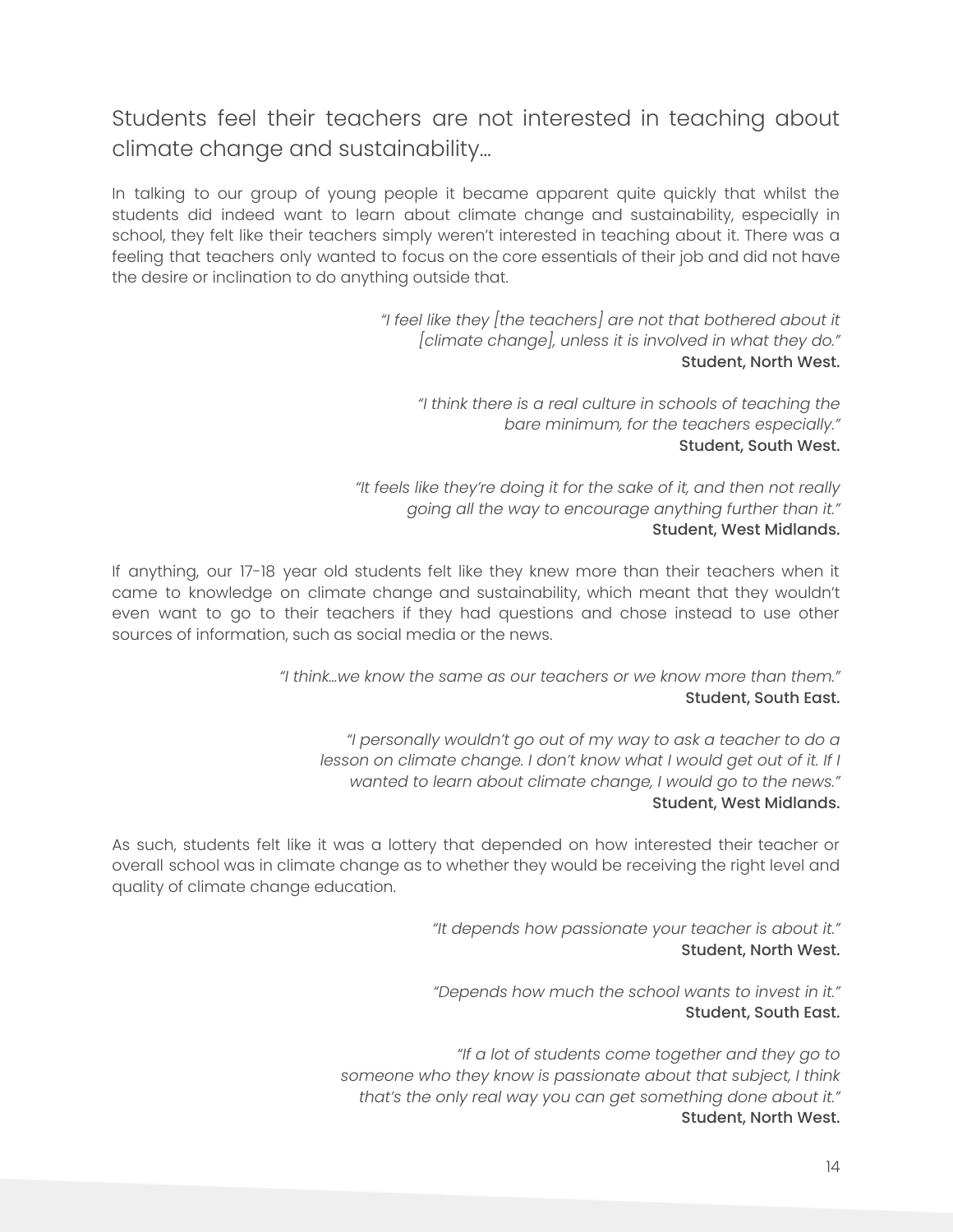#### <span id="page-14-0"></span>Students feel their teachers are not interested in teaching about climate change and sustainability…

In talking to our group of young people it became apparent quite quickly that whilst the students did indeed want to learn about climate change and sustainability, especially in school, they felt like their teachers simply weren't interested in teaching about it. There was a feeling that teachers only wanted to focus on the core essentials of their job and did not have the desire or inclination to do anything outside that.

> *"I feel like they [the teachers] are not that bothered about it [climate change], unless it is involved in what they do."* Student, North West.

*"I think there is a real culture in schools of teaching the bare minimum, for the teachers especially."* Student, South West.

*"It feels like they're doing it for the sake of it, and then not really going all the way to encourage anything further than it."* Student, West Midlands.

If anything, our 17-18 year old students felt like they knew more than their teachers when it came to knowledge on climate change and sustainability, which meant that they wouldn't even want to go to their teachers if they had questions and chose instead to use other sources of information, such as social media or the news.

> *"I think…we know the same as our teachers or we know more than them."* Student, South East.

*"I personally wouldn't go out of my way to ask a teacher to do a lesson on climate change. I don't know what I would get out of it. If I wanted to learn about climate change, I would go to the news."* Student, West Midlands.

As such, students felt like it was a lottery that depended on how interested their teacher or overall school was in climate change as to whether they would be receiving the right level and quality of climate change education.

> *"It depends how passionate your teacher is about it."* Student, North West.

> *"Depends how much the school wants to invest in it."* Student, South East.

*"If a lot of students come together and they go to someone who they know is passionate about that subject, I think that's the only real way you can get something done about it."* Student, North West.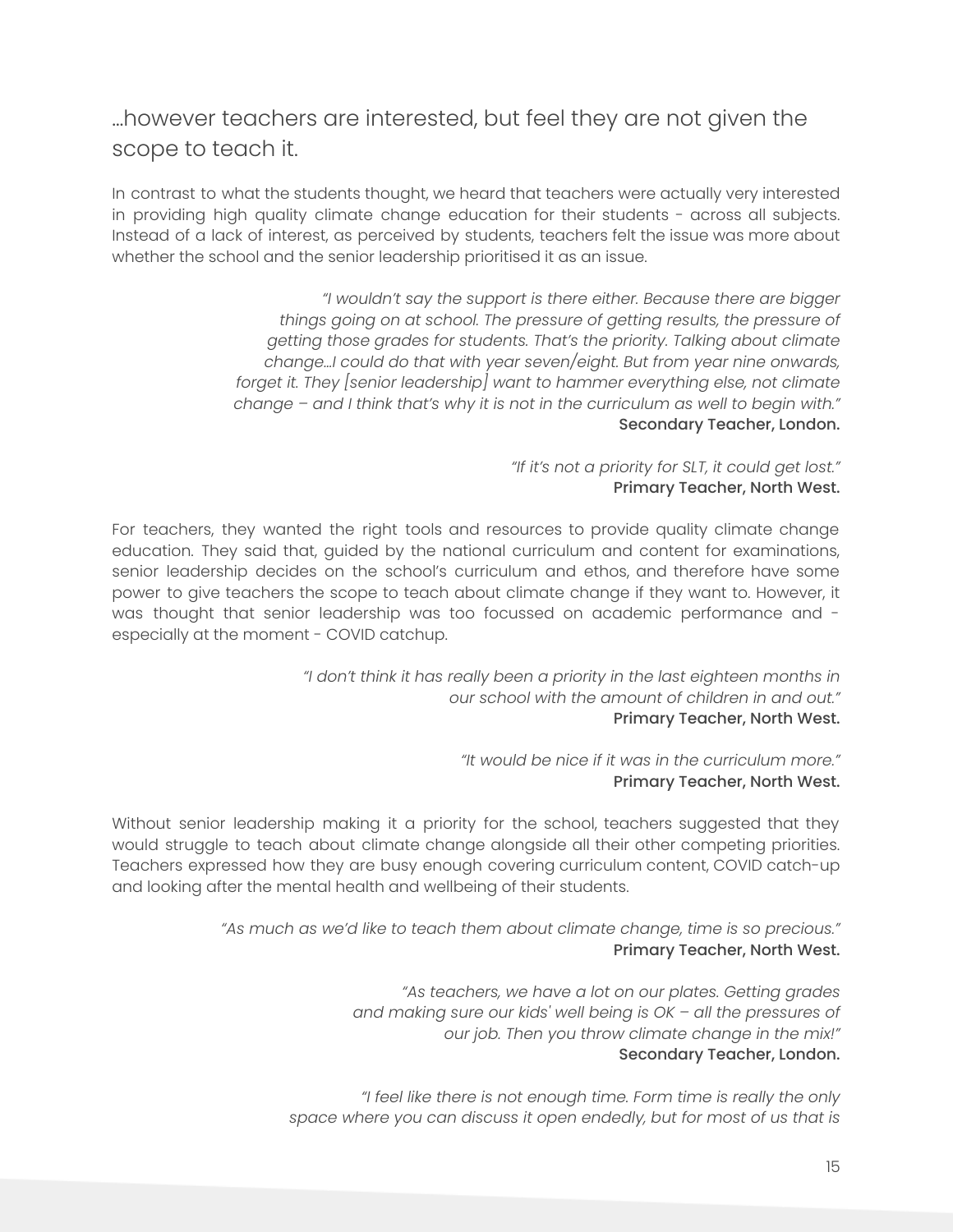#### <span id="page-15-0"></span>…however teachers are interested, but feel they are not given the scope to teach it.

In contrast to what the students thought, we heard that teachers were actually very interested in providing high quality climate change education for their students - across all subjects. Instead of a lack of interest, as perceived by students, teachers felt the issue was more about whether the school and the senior leadership prioritised it as an issue.

> *"I wouldn't say the support is there either. Because there are bigger things going on at school. The pressure of getting results, the pressure of getting those grades for students. That's the priority. Talking about climate change…I could do that with year seven/eight. But from year nine onwards, forget it. They [senior leadership] want to hammer everything else, not climate change – and I think that's why it is not in the curriculum as well to begin with."* Secondary Teacher, London.

> > *"If it's not a priority for SLT, it could get lost."* Primary Teacher, North West.

For teachers, they wanted the right tools and resources to provide quality climate change education. They said that, guided by the national curriculum and content for examinations, senior leadership decides on the school's curriculum and ethos, and therefore have some power to give teachers the scope to teach about climate change if they want to. However, it was thought that senior leadership was too focussed on academic performance and especially at the moment - COVID catchup.

> *"I don't think it has really been a priority in the last eighteen months in our school with the amount of children in and out."* Primary Teacher, North West.

> > *"It would be nice if it was in the curriculum more."* Primary Teacher, North West.

Without senior leadership making it a priority for the school, teachers suggested that they would struggle to teach about climate change alongside all their other competing priorities. Teachers expressed how they are busy enough covering curriculum content, COVID catch-up and looking after the mental health and wellbeing of their students.

> *"As much as we'd like to teach them about climate change, time is so precious."* Primary Teacher, North West.

> > *"As teachers, we have a lot on our plates. Getting grades and making sure our kids' well being is OK – all the pressures of our job. Then you throw climate change in the mix!"* Secondary Teacher, London.

*"I feel like there is not enough time. Form time is really the only space where you can discuss it open endedly, but for most of us that is*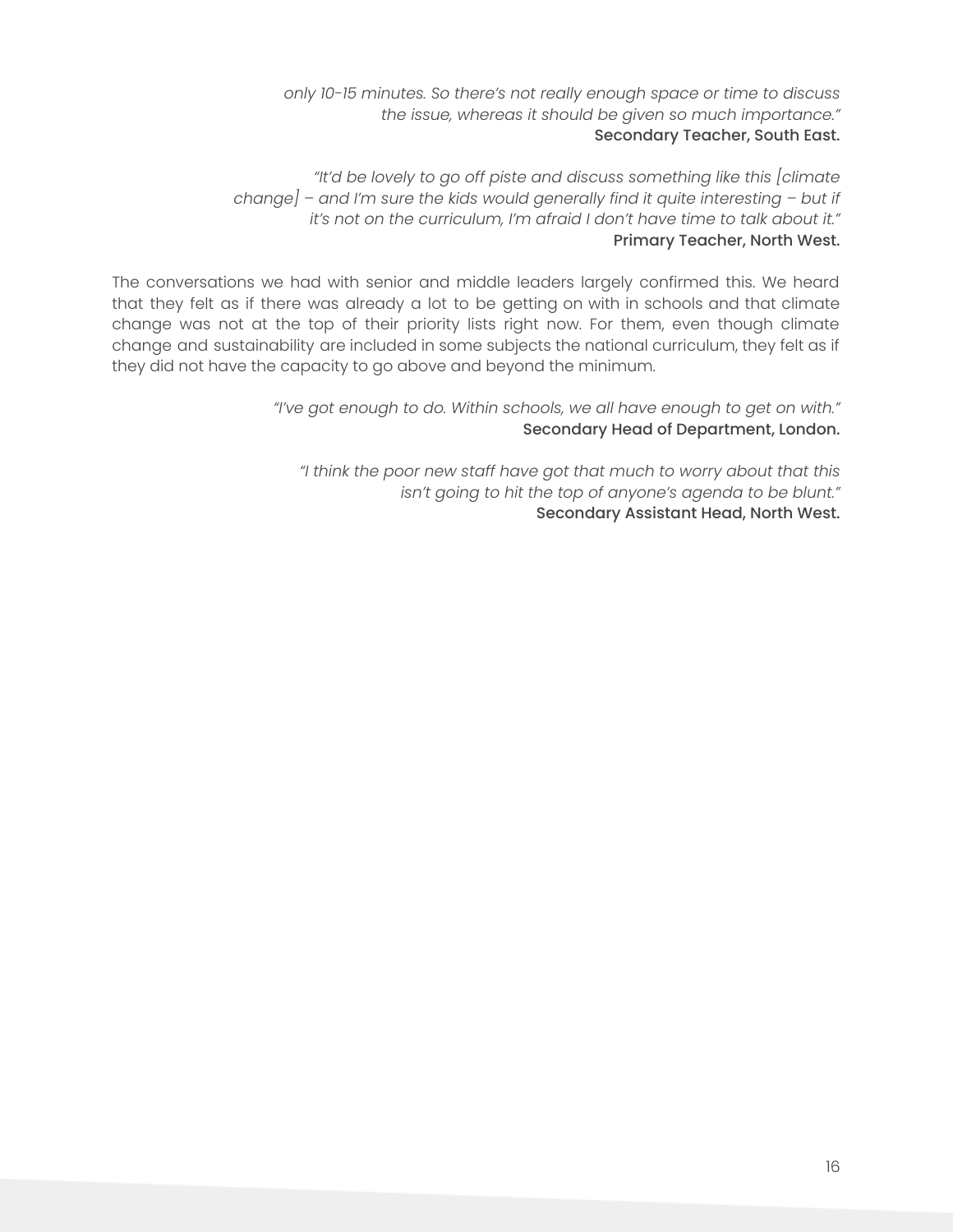*only 10-15 minutes. So there's not really enough space or time to discuss the issue, whereas it should be given so much importance."* Secondary Teacher, South East.

*"It'd be lovely to go off piste and discuss something like this [climate change] – and I'm sure the kids would generally find it quite interesting – but if it's not on the curriculum, I'm afraid I don't have time to talk about it."* Primary Teacher, North West.

The conversations we had with senior and middle leaders largely confirmed this. We heard that they felt as if there was already a lot to be getting on with in schools and that climate change was not at the top of their priority lists right now. For them, even though climate change and sustainability are included in some subjects the national curriculum, they felt as if they did not have the capacity to go above and beyond the minimum.

> *"I've got enough to do. Within schools, we all have enough to get on with."* Secondary Head of Department, London.

*"I think the poor new staff have got that much to worry about that this isn't going to hit the top of anyone's agenda to be blunt."* Secondary Assistant Head, North West.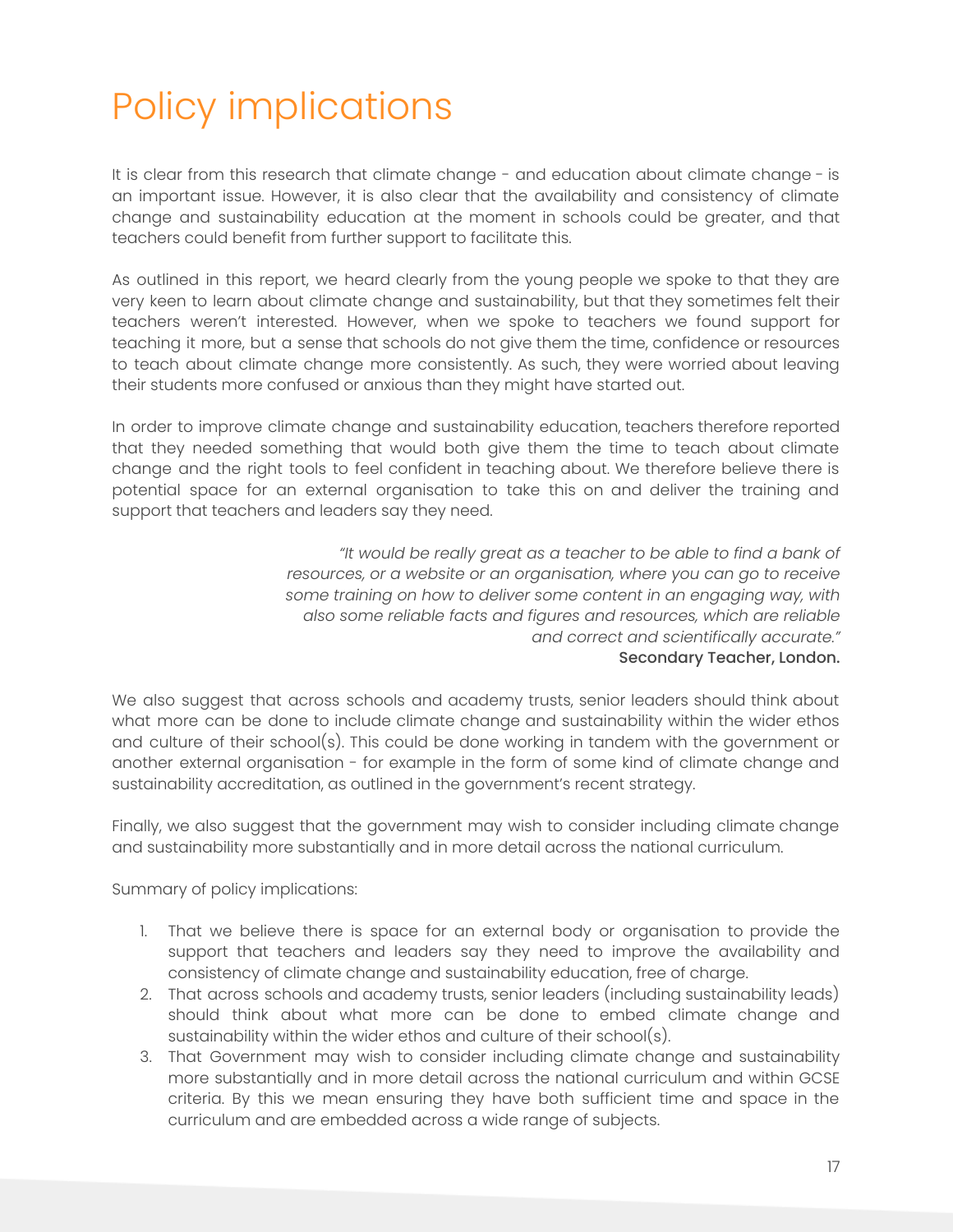# <span id="page-17-0"></span>Policy implications

It is clear from this research that climate change - and education about climate change - is an important issue. However, it is also clear that the availability and consistency of climate change and sustainability education at the moment in schools could be greater, and that teachers could benefit from further support to facilitate this.

As outlined in this report, we heard clearly from the young people we spoke to that they are very keen to learn about climate change and sustainability, but that they sometimes felt their teachers weren't interested. However, when we spoke to teachers we found support for teaching it more, but a sense that schools do not give them the time, confidence or resources to teach about climate change more consistently. As such, they were worried about leaving their students more confused or anxious than they might have started out.

In order to improve climate change and sustainability education, teachers therefore reported that they needed something that would both give them the time to teach about climate change and the right tools to feel confident in teaching about. We therefore believe there is potential space for an external organisation to take this on and deliver the training and support that teachers and leaders say they need.

> *"It would be really great as a teacher to be able to find a bank of resources, or a website or an organisation, where you can go to receive some training on how to deliver some content in an engaging way, with also some reliable facts and figures and resources, which are reliable and correct and scientifically accurate."* Secondary Teacher, London.

We also suggest that across schools and academy trusts, senior leaders should think about what more can be done to include climate change and sustainability within the wider ethos and culture of their school(s). This could be done working in tandem with the government or another external organisation - for example in the form of some kind of climate change and sustainability accreditation, as outlined in the government's recent strategy.

Finally, we also suggest that the government may wish to consider including climate change and sustainability more substantially and in more detail across the national curriculum.

Summary of policy implications:

- 1. That we believe there is space for an external body or organisation to provide the support that teachers and leaders say they need to improve the availability and consistency of climate change and sustainability education, free of charge.
- 2. That across schools and academy trusts, senior leaders (including sustainability leads) should think about what more can be done to embed climate change and sustainability within the wider ethos and culture of their school(s).
- 3. That Government may wish to consider including climate change and sustainability more substantially and in more detail across the national curriculum and within GCSE criteria. By this we mean ensuring they have both sufficient time and space in the curriculum and are embedded across a wide range of subjects.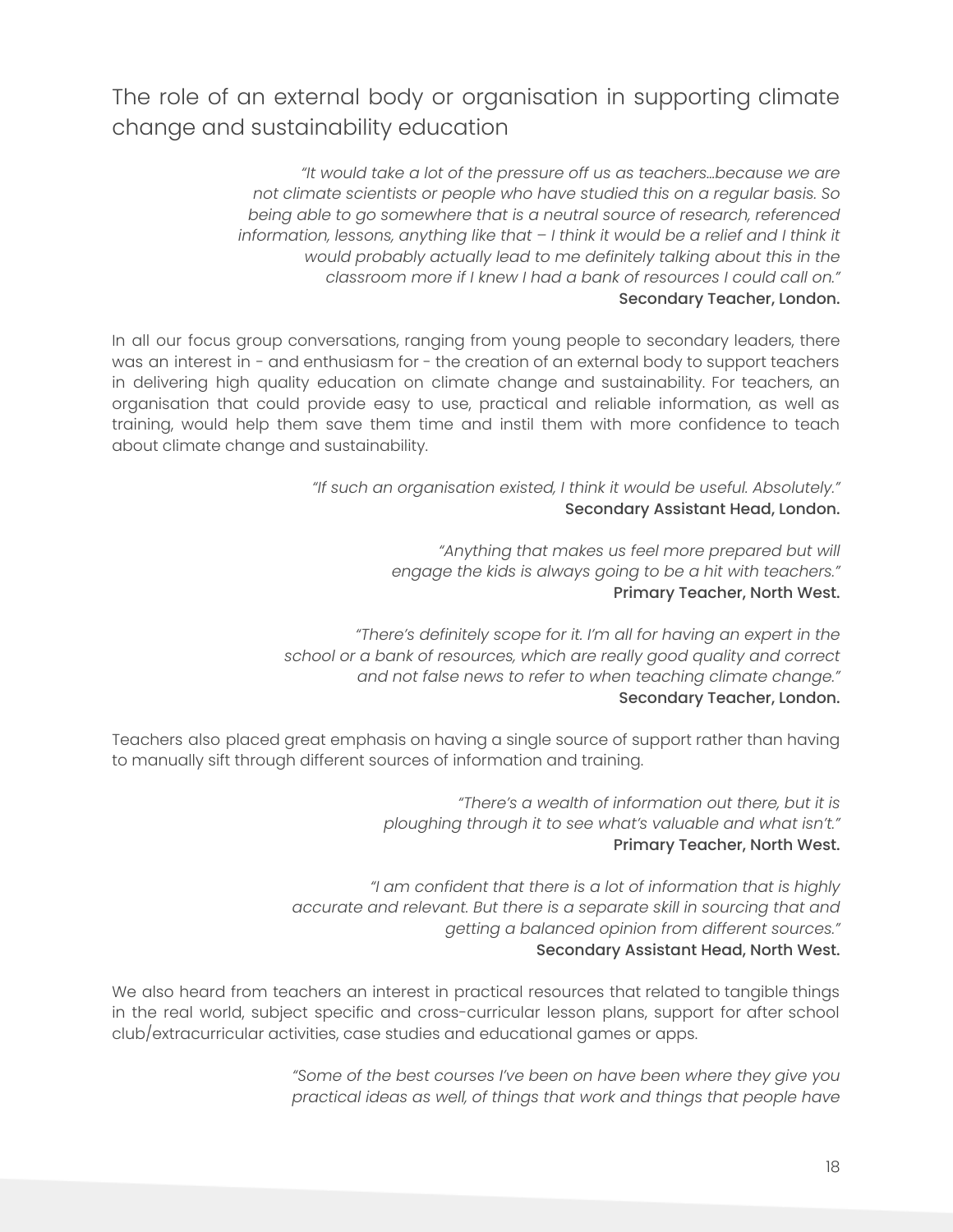<span id="page-18-0"></span>The role of an external body or organisation in supporting climate change and sustainability education

> *"It would take a lot of the pressure off us as teachers…because we are not climate scientists or people who have studied this on a regular basis. So being able to go somewhere that is a neutral source of research, referenced information, lessons, anything like that – I think it would be a relief and I think it would probably actually lead to me definitely talking about this in the classroom more if I knew I had a bank of resources I could call on."* Secondary Teacher, London.

In all our focus group conversations, ranging from young people to secondary leaders, there was an interest in - and enthusiasm for - the creation of an external body to support teachers in delivering high quality education on climate change and sustainability. For teachers, an organisation that could provide easy to use, practical and reliable information, as well as training, would help them save them time and instil them with more confidence to teach about climate change and sustainability.

> *"If such an organisation existed, I think it would be useful. Absolutely."* Secondary Assistant Head, London.

> > *"Anything that makes us feel more prepared but will engage the kids is always going to be a hit with teachers."* Primary Teacher, North West.

*"There's definitely scope for it. I'm all for having an expert in the school or a bank of resources, which are really good quality and correct and not false news to refer to when teaching climate change."* Secondary Teacher, London.

Teachers also placed great emphasis on having a single source of support rather than having to manually sift through different sources of information and training.

> *"There's a wealth of information out there, but it is ploughing through it to see what's valuable and what isn't."* Primary Teacher, North West.

*"I am confident that there is a lot of information that is highly accurate and relevant. But there is a separate skill in sourcing that and getting a balanced opinion from different sources."* Secondary Assistant Head, North West.

We also heard from teachers an interest in practical resources that related to tangible things in the real world, subject specific and cross-curricular lesson plans, support for after school club/extracurricular activities, case studies and educational games or apps.

> *"Some of the best courses I've been on have been where they give you practical ideas as well, of things that work and things that people have*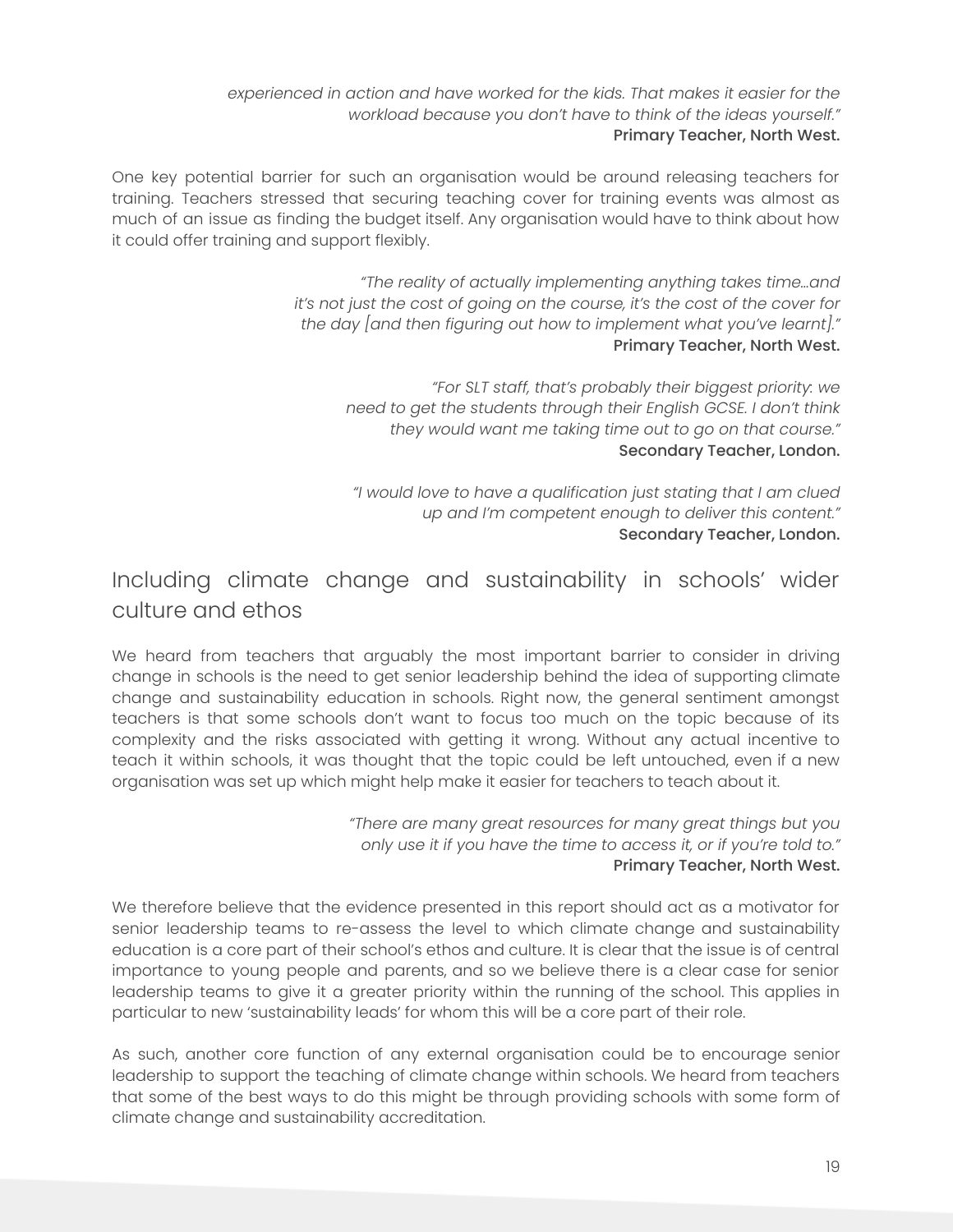*experienced in action and have worked for the kids. That makes it easier for the workload because you don't have to think of the ideas yourself."* Primary Teacher, North West.

One key potential barrier for such an organisation would be around releasing teachers for training. Teachers stressed that securing teaching cover for training events was almost as much of an issue as finding the budget itself. Any organisation would have to think about how it could offer training and support flexibly.

> *"The reality of actually implementing anything takes time…and it's not just the cost of going on the course, it's the cost of the cover for the day [and then figuring out how to implement what you've learnt]."* Primary Teacher, North West.

*"For SLT staff, that's probably their biggest priority: we need to get the students through their English GCSE. I don't think they would want me taking time out to go on that course."* Secondary Teacher, London.

*"I would love to have a qualification just stating that I am clued up and I'm competent enough to deliver this content."* Secondary Teacher, London.

### <span id="page-19-0"></span>Including climate change and sustainability in schools' wider culture and ethos

We heard from teachers that arguably the most important barrier to consider in driving change in schools is the need to get senior leadership behind the idea of supporting climate change and sustainability education in schools. Right now, the general sentiment amongst teachers is that some schools don't want to focus too much on the topic because of its complexity and the risks associated with getting it wrong. Without any actual incentive to teach it within schools, it was thought that the topic could be left untouched, even if a new organisation was set up which might help make it easier for teachers to teach about it.

> *"There are many great resources for many great things but you only use it if you have the time to access it, or if you're told to."* Primary Teacher, North West.

We therefore believe that the evidence presented in this report should act as a motivator for senior leadership teams to re-assess the level to which climate change and sustainability education is a core part of their school's ethos and culture. It is clear that the issue is of central importance to young people and parents, and so we believe there is a clear case for senior leadership teams to give it a greater priority within the running of the school. This applies in particular to new 'sustainability leads' for whom this will be a core part of their role.

As such, another core function of any external organisation could be to encourage senior leadership to support the teaching of climate change within schools. We heard from teachers that some of the best ways to do this might be through providing schools with some form of climate change and sustainability accreditation.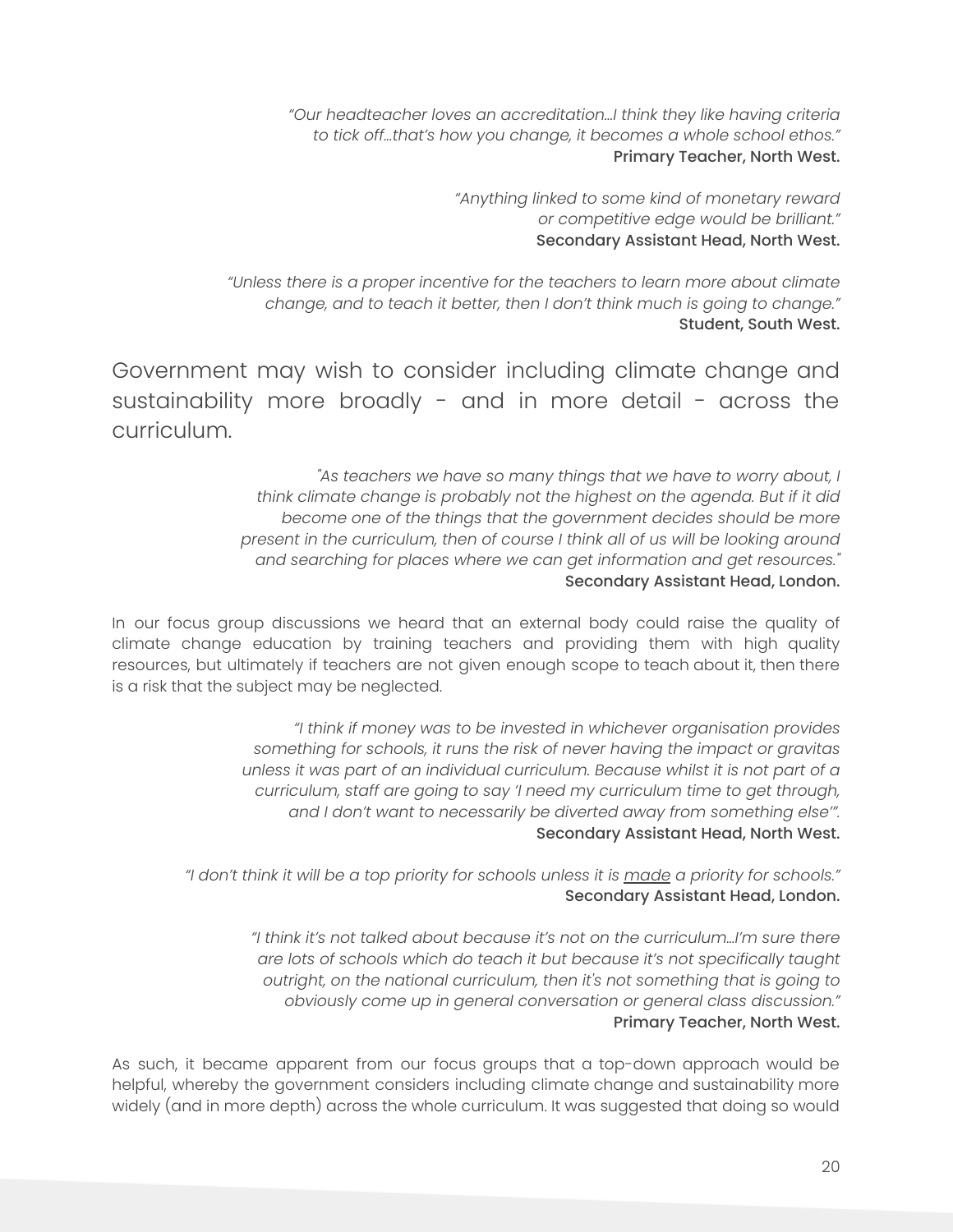*"Our headteacher loves an accreditation...I think they like having criteria to tick off...that's how you change, it becomes a whole school ethos."* Primary Teacher, North West.

> *"Anything linked to some kind of monetary reward or competitive edge would be brilliant."* Secondary Assistant Head, North West.

*"Unless there is a proper incentive for the teachers to learn more about climate change, and to teach it better, then I don't think much is going to change."* Student, South West.

<span id="page-20-0"></span>Government may wish to consider including climate change and sustainability more broadly - and in more detail - across the curriculum.

> *"As teachers we have so many things that we have to worry about, I think climate change is probably not the highest on the agenda. But if it did become one of the things that the government decides should be more present in the curriculum, then of course I think all of us will be looking around and searching for places where we can get information and get resources."* Secondary Assistant Head, London.

In our focus group discussions we heard that an external body could raise the quality of climate change education by training teachers and providing them with high quality resources, but ultimately if teachers are not given enough scope to teach about it, then there is a risk that the subject may be neglected.

> *"I think if money was to be invested in whichever organisation provides something for schools, it runs the risk of never having the impact or gravitas unless it was part of an individual curriculum. Because whilst it is not part of a curriculum, staff are going to say 'I need my curriculum time to get through, and I don't want to necessarily be diverted away from something else'".* Secondary Assistant Head, North West.

"I don't think it will be a top priority for schools unless it is made a priority for schools." Secondary Assistant Head, London.

> *"I think it's not talked about because it's not on the curriculum…I'm sure there are lots of schools which do teach it but because it's not specifically taught outright, on the national curriculum, then it's not something that is going to obviously come up in general conversation or general class discussion."* Primary Teacher, North West.

As such, it became apparent from our focus groups that a top-down approach would be helpful, whereby the government considers including climate change and sustainability more widely (and in more depth) across the whole curriculum. It was suggested that doing so would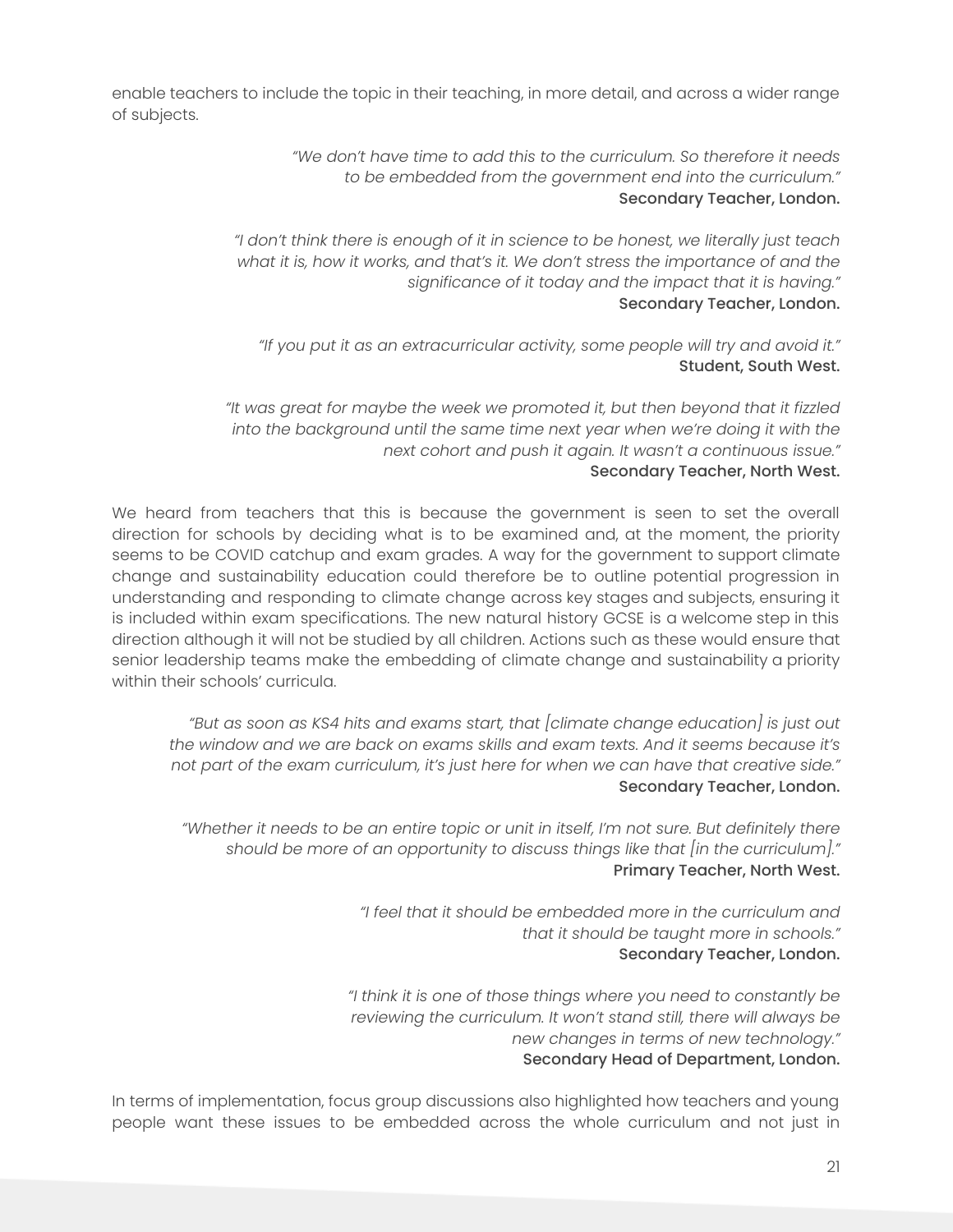enable teachers to include the topic in their teaching, in more detail, and across a wider range of subjects.

> *"We don't have time to add this to the curriculum. So therefore it needs to be embedded from the government end into the curriculum."* Secondary Teacher, London.

*"I don't think there is enough of it in science to be honest, we literally just teach what it is, how it works, and that's it. We don't stress the importance of and the significance of it today and the impact that it is having."* Secondary Teacher, London.

*"If you put it as an extracurricular activity, some people will try and avoid it."* Student, South West.

*"It was great for maybe the week we promoted it, but then beyond that it fizzled into the background until the same time next year when we're doing it with the next cohort and push it again. It wasn't a continuous issue."* Secondary Teacher, North West.

We heard from teachers that this is because the government is seen to set the overall direction for schools by deciding what is to be examined and, at the moment, the priority seems to be COVID catchup and exam grades. A way for the government to support climate change and sustainability education could therefore be to outline potential progression in understanding and responding to climate change across key stages and subjects, ensuring it is included within exam specifications. The new natural history GCSE is a welcome step in this direction although it will not be studied by all children. Actions such as these would ensure that senior leadership teams make the embedding of climate change and sustainability a priority within their schools' curricula.

*"But as soon as KS4 hits and exams start, that [climate change education] is just out the window and we are back on exams skills and exam texts. And it seems because it's not part of the exam curriculum, it's just here for when we can have that creative side."* Secondary Teacher, London.

*"Whether it needs to be an entire topic or unit in itself, I'm not sure. But definitely there should be more of an opportunity to discuss things like that [in the curriculum]."* Primary Teacher, North West.

> *"I feel that it should be embedded more in the curriculum and that it should be taught more in schools."* Secondary Teacher, London.

*"I think it is one of those things where you need to constantly be reviewing the curriculum. It won't stand still, there will always be new changes in terms of new technology."* Secondary Head of Department, London.

In terms of implementation, focus group discussions also highlighted how teachers and young people want these issues to be embedded across the whole curriculum and not just in